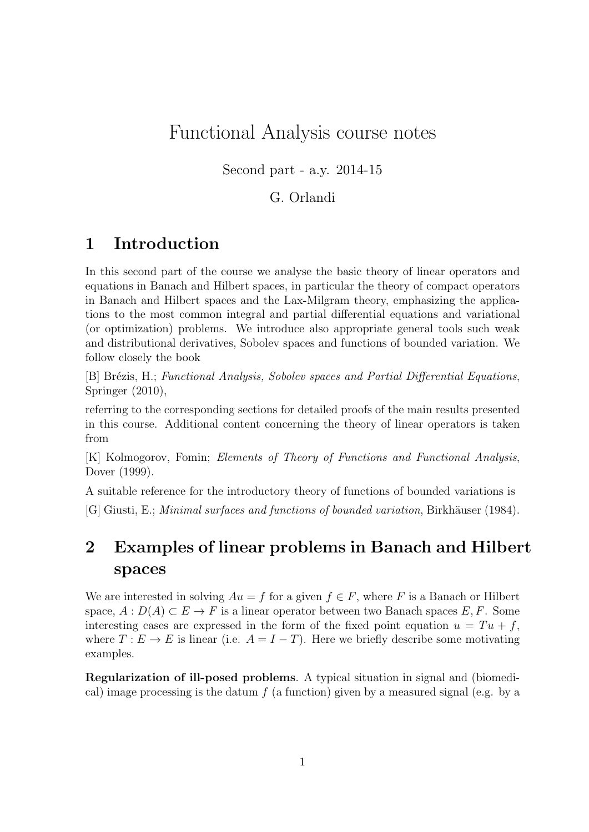# Functional Analysis course notes

Second part - a.y. 2014-15

#### G. Orlandi

## 1 Introduction

In this second part of the course we analyse the basic theory of linear operators and equations in Banach and Hilbert spaces, in particular the theory of compact operators in Banach and Hilbert spaces and the Lax-Milgram theory, emphasizing the applications to the most common integral and partial differential equations and variational (or optimization) problems. We introduce also appropriate general tools such weak and distributional derivatives, Sobolev spaces and functions of bounded variation. We follow closely the book

[B] Brézis, H.; Functional Analysis, Sobolev spaces and Partial Differential Equations, Springer (2010),

referring to the corresponding sections for detailed proofs of the main results presented in this course. Additional content concerning the theory of linear operators is taken from

[K] Kolmogorov, Fomin; Elements of Theory of Functions and Functional Analysis, Dover (1999).

A suitable reference for the introductory theory of functions of bounded variations is

[G] Giusti, E.; *Minimal surfaces and functions of bounded variation*, Birkhäuser (1984).

# 2 Examples of linear problems in Banach and Hilbert spaces

We are interested in solving  $Au = f$  for a given  $f \in F$ , where F is a Banach or Hilbert space,  $A: D(A) \subset E \to F$  is a linear operator between two Banach spaces E, F. Some interesting cases are expressed in the form of the fixed point equation  $u = Tu + f$ , where  $T: E \to E$  is linear (i.e.  $A = I - T$ ). Here we briefly describe some motivating examples.

Regularization of ill-posed problems. A typical situation in signal and (biomedical) image processing is the datum  $f$  (a function) given by a measured signal (e.g. by a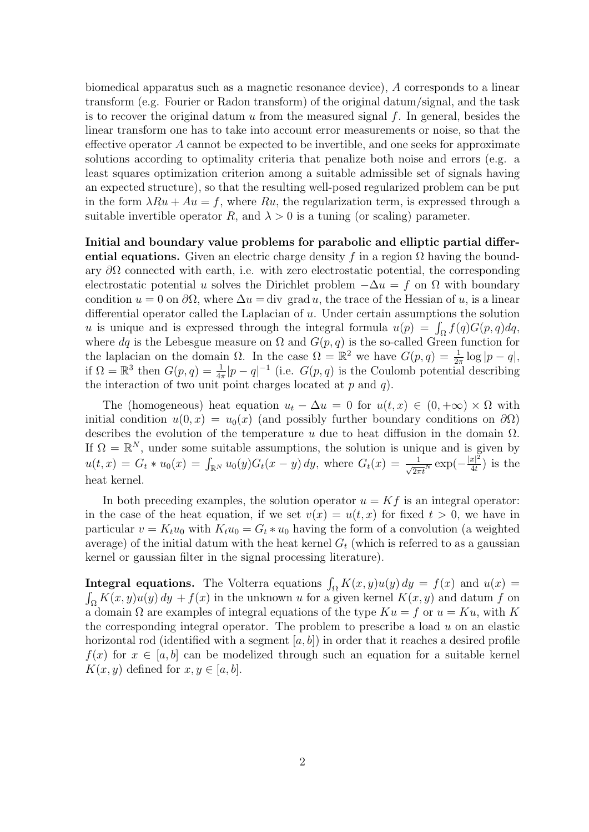biomedical apparatus such as a magnetic resonance device), A corresponds to a linear transform (e.g. Fourier or Radon transform) of the original datum/signal, and the task is to recover the original datum  $u$  from the measured signal  $f$ . In general, besides the linear transform one has to take into account error measurements or noise, so that the effective operator A cannot be expected to be invertible, and one seeks for approximate solutions according to optimality criteria that penalize both noise and errors (e.g. a least squares optimization criterion among a suitable admissible set of signals having an expected structure), so that the resulting well-posed regularized problem can be put in the form  $\lambda Ru + Au = f$ , where Ru, the regularization term, is expressed through a suitable invertible operator R, and  $\lambda > 0$  is a tuning (or scaling) parameter.

Initial and boundary value problems for parabolic and elliptic partial differential equations. Given an electric charge density f in a region  $\Omega$  having the boundary  $\partial\Omega$  connected with earth, i.e. with zero electrostatic potential, the corresponding electrostatic potential u solves the Dirichlet problem  $-\Delta u = f$  on  $\Omega$  with boundary condition  $u = 0$  on  $\partial\Omega$ , where  $\Delta u = \text{div}$  grad u, the trace of the Hessian of u, is a linear differential operator called the Laplacian of u. Under certain assumptions the solution u is unique and is expressed through the integral formula  $u(p) = \int_{\Omega} f(q)G(p,q)dq$ , where dq is the Lebesgue measure on  $\Omega$  and  $G(p,q)$  is the so-called Green function for the laplacian on the domain  $\Omega$ . In the case  $\Omega = \mathbb{R}^2$  we have  $G(p, q) = \frac{1}{2\pi} \log |p - q|$ , if  $\Omega = \mathbb{R}^3$  then  $G(p,q) = \frac{1}{4\pi} |p-q|^{-1}$  (i.e.  $G(p,q)$  is the Coulomb potential describing the interaction of two unit point charges located at  $p$  and  $q$ ).

The (homogeneous) heat equation  $u_t - \Delta u = 0$  for  $u(t, x) \in (0, +\infty) \times \Omega$  with initial condition  $u(0, x) = u_0(x)$  (and possibly further boundary conditions on  $\partial\Omega$ ) describes the evolution of the temperature  $u$  due to heat diffusion in the domain  $\Omega$ . If  $\Omega = \mathbb{R}^N$ , under some suitable assumptions, the solution is unique and is given by  $u(t,x) = G_t * u_0(x) = \int_{\mathbb{R}^N} u_0(y) G_t(x-y) dy$ , where  $G_t(x) = \frac{1}{\sqrt{2\pi t}N} \exp(-\frac{|x|^2}{4t})$  $\frac{x|^2}{4t}$ ) is the heat kernel.

In both preceding examples, the solution operator  $u = Kf$  is an integral operator: in the case of the heat equation, if we set  $v(x) = u(t, x)$  for fixed  $t > 0$ , we have in particular  $v = K_t u_0$  with  $K_t u_0 = G_t * u_0$  having the form of a convolution (a weighted average) of the initial datum with the heat kernel  $G_t$  (which is referred to as a gaussian kernel or gaussian filter in the signal processing literature).

**Integral equations.** The Volterra equations  $\int_{\Omega} K(x, y)u(y) dy = f(x)$  and  $u(x) =$  $\int_{\Omega} K(x, y)u(y) dy + f(x)$  in the unknown u for a given kernel  $K(x, y)$  and datum f on a domain  $\Omega$  are examples of integral equations of the type  $Ku = f$  or  $u = Ku$ , with K the corresponding integral operator. The problem to prescribe a load u on an elastic horizontal rod (identified with a segment  $[a, b]$ ) in order that it reaches a desired profile  $f(x)$  for  $x \in [a, b]$  can be modelized through such an equation for a suitable kernel  $K(x, y)$  defined for  $x, y \in [a, b]$ .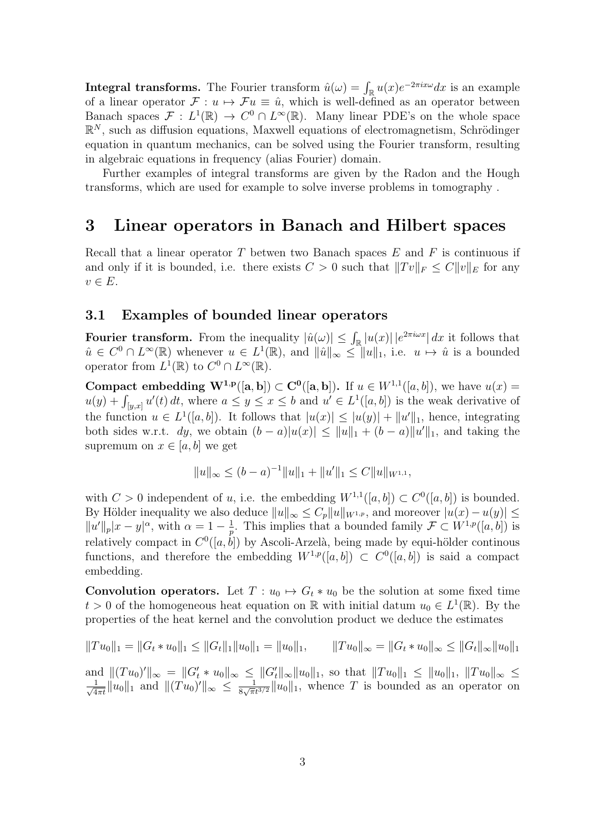**Integral transforms.** The Fourier transform  $\hat{u}(\omega) = \int_{\mathbb{R}} u(x)e^{-2\pi i x \omega} dx$  is an example of a linear operator  $\mathcal{F} : u \mapsto \mathcal{F}u \equiv \hat{u}$ , which is well-defined as an operator between Banach spaces  $\mathcal{F}: L^1(\mathbb{R}) \to C^0 \cap L^{\infty}(\mathbb{R})$ . Many linear PDE's on the whole space  $\mathbb{R}^N$ , such as diffusion equations, Maxwell equations of electromagnetism, Schrödinger equation in quantum mechanics, can be solved using the Fourier transform, resulting in algebraic equations in frequency (alias Fourier) domain.

Further examples of integral transforms are given by the Radon and the Hough transforms, which are used for example to solve inverse problems in tomography .

### 3 Linear operators in Banach and Hilbert spaces

Recall that a linear operator  $T$  betwen two Banach spaces  $E$  and  $F$  is continuous if and only if it is bounded, i.e. there exists  $C > 0$  such that  $||Tv||_F \leq C||v||_E$  for any  $v \in E$ .

#### 3.1 Examples of bounded linear operators

Fourier transform. From the inequality  $|\hat{u}(\omega)| \leq \int_{\mathbb{R}} |u(x)| |e^{2\pi i \omega x}| dx$  it follows that  $\hat{u} \in C^0 \cap L^{\infty}(\mathbb{R})$  whenever  $u \in L^1(\mathbb{R})$ , and  $\|\hat{u}\|_{\infty} \leq \|u\|_1$ , i.e.  $u \mapsto \hat{u}$  is a bounded operator from  $L^1(\mathbb{R})$  to  $C^0 \cap L^{\infty}(\mathbb{R})$ .

Compact embedding  $W^{1,p}([a,b]) \subset C^{0}([a,b])$ . If  $u \in W^{1,1}([a,b])$ , we have  $u(x) =$  $u(y) + \int_{[y,x]} u'(t) dt$ , where  $a \leq y \leq x \leq b$  and  $u' \in L^1([a,b])$  is the weak derivative of the function  $u \in L^1([a, b])$ . It follows that  $|u(x)| \leq |u(y)| + ||u'||_1$ , hence, integrating both sides w.r.t. dy, we obtain  $(b-a)|u(x)| \le ||u||_1 + (b-a)||u'||_1$ , and taking the supremum on  $x \in [a, b]$  we get

$$
||u||_{\infty} \le (b-a)^{-1}||u||_1 + ||u'||_1 \le C||u||_{W^{1,1}},
$$

with  $C > 0$  independent of u, i.e. the embedding  $W^{1,1}([a, b]) \subset C^{0}([a, b])$  is bounded. By Hölder inequality we also deduce  $||u||_{\infty} \leq C_p ||u||_{W^{1,p}}$ , and moreover  $|u(x) - u(y)| \leq$  $||u'||_p|x-y|^{\alpha}$ , with  $\alpha = 1 - \frac{1}{n}$  $\frac{1}{p}$ . This implies that a bounded family  $\mathcal{F} \subset W^{1,p}([a, b])$  is relatively compact in  $C^0([a, b])$  by Ascoli-Arzelà, being made by equi-hölder continous functions, and therefore the embedding  $W^{1,p}([a,b]) \subset C^{0}([a,b])$  is said a compact embedding.

**Convolution operators.** Let  $T: u_0 \mapsto G_t * u_0$  be the solution at some fixed time  $t > 0$  of the homogeneous heat equation on R with initial datum  $u_0 \in L^1(\mathbb{R})$ . By the properties of the heat kernel and the convolution product we deduce the estimates

$$
||Tu_0||_1 = ||G_t * u_0||_1 \le ||G_t||_1 ||u_0||_1 = ||u_0||_1, \qquad ||Tu_0||_{\infty} = ||G_t * u_0||_{\infty} \le ||G_t||_{\infty} ||u_0||_1
$$

and  $|| (Tu_0)' ||_{\infty} = ||G'_t * u_0 ||_{\infty} \leq ||G'_t||_{\infty} ||u_0||_1$ , so that  $||Tu_0||_1 \leq ||u_0||_1$ ,  $||Tu_0||_{\infty} \leq$  $\frac{1}{\sqrt{2}}$  $\frac{1}{4\pi t} \|u_0\|_1$  and  $\|(Tu_0)'\|_{\infty} \leq \frac{1}{8\sqrt{\pi s}}$  $\frac{1}{8\sqrt{\pi}t^{3/2}}\|u_0\|_1$ , whence T is bounded as an operator on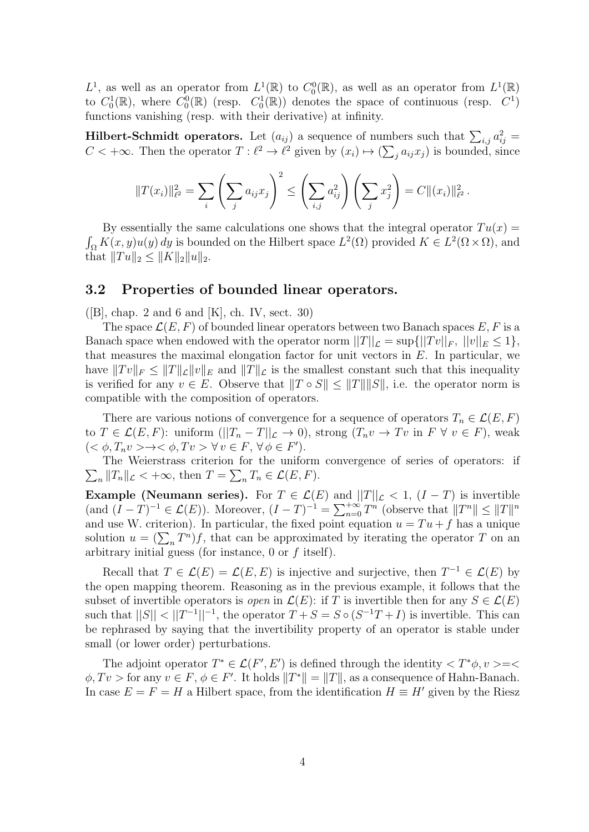$L^1$ , as well as an operator from  $L^1(\mathbb{R})$  to  $C_0^0(\mathbb{R})$ , as well as an operator from  $L^1(\mathbb{R})$ to  $C_0^1(\mathbb{R})$ , where  $C_0^0(\mathbb{R})$  (resp.  $C_0^1(\mathbb{R})$ ) denotes the space of continuous (resp.  $C_1^1$ ) functions vanishing (resp. with their derivative) at infinity.

**Hilbert-Schmidt operators.** Let  $(a_{ij})$  a sequence of numbers such that  $\sum_{i,j} a_{ij}^2 =$  $C < +\infty$ . Then the operator  $T : \ell^2 \to \ell^2$  given by  $(x_i) \mapsto (\sum_j a_{ij} x_j)$  is bounded, since

$$
||T(x_i)||_{\ell^2}^2 = \sum_i \left(\sum_j a_{ij} x_j\right)^2 \le \left(\sum_{i,j} a_{ij}^2\right) \left(\sum_j x_j^2\right) = C ||(x_i)||_{\ell^2}^2.
$$

By essentially the same calculations one shows that the integral operator  $Tu(x)$  =  $\int_{\Omega} K(x, y) u(y) dy$  is bounded on the Hilbert space  $L^2(\Omega)$  provided  $K \in L^2(\Omega \times \Omega)$ , and that  $||Tu||_2 \leq ||K||_2||u||_2$ .

#### 3.2 Properties of bounded linear operators.

 $([B],$  chap. 2 and 6 and  $[K],$  ch. IV, sect. 30)

The space  $\mathcal{L}(E, F)$  of bounded linear operators between two Banach spaces E, F is a Banach space when endowed with the operator norm  $||T||_{\mathcal{L}} = \sup{||Tv||_F, ||v||_F \leq 1},$ that measures the maximal elongation factor for unit vectors in  $E$ . In particular, we have  $||Tv||_F \leq ||T||_E ||v||_E$  and  $||T||_E$  is the smallest constant such that this inequality is verified for any  $v \in E$ . Observe that  $||T \circ S|| \le ||T|| ||S||$ , i.e. the operator norm is compatible with the composition of operators.

There are various notions of convergence for a sequence of operators  $T_n \in \mathcal{L}(E, F)$ to  $T \in \mathcal{L}(E, F)$ : uniform  $(||T_n - T||_{\mathcal{L}} \to 0)$ , strong  $(T_n v \to Tv \text{ in } F \ \forall \ v \in F)$ , weak  $(<\phi, T_n v> \to <\phi, Tv> \forall v \in F, \forall \phi \in F'.$ 

 $\sum_{n} ||T_n||_{\mathcal{L}} < +\infty$ , then  $T = \sum_{n} T_n \in \mathcal{L}(E, F)$ . The Weierstrass criterion for the uniform convergence of series of operators: if

**Example (Neumann series).** For  $T \in \mathcal{L}(E)$  and  $||T||_{\mathcal{L}} < 1$ ,  $(I - T)$  is invertible (and  $(I - T)^{-1} \in \mathcal{L}(E)$ ). Moreover,  $(I - T)^{-1} = \sum_{n=0}^{+\infty} T^n$  (observe that  $||T^n|| \le ||T||^n$ and use W. criterion). In particular, the fixed point equation  $u = Tu + f$  has a unique solution  $u = (\sum_n T^n)f$ , that can be approximated by iterating the operator T on an arbitrary initial guess (for instance,  $0$  or  $f$  itself).

Recall that  $T \in \mathcal{L}(E) = \mathcal{L}(E, E)$  is injective and surjective, then  $T^{-1} \in \mathcal{L}(E)$  by the open mapping theorem. Reasoning as in the previous example, it follows that the subset of invertible operators is *open* in  $\mathcal{L}(E)$ : if T is invertible then for any  $S \in \mathcal{L}(E)$ such that  $||S|| < ||T^{-1}||^{-1}$ , the operator  $T + S = S \circ (S^{-1}T + I)$  is invertible. This can be rephrased by saying that the invertibility property of an operator is stable under small (or lower order) perturbations.

The adjoint operator  $T^* \in \mathcal{L}(F', E')$  is defined through the identity  $\langle T^* \phi, v \rangle = \langle$  $\phi, Tv >$  for any  $v \in F, \phi \in F'$ . It holds  $||T^*|| = ||T||$ , as a consequence of Hahn-Banach. In case  $E = F = H$  a Hilbert space, from the identification  $H \equiv H'$  given by the Riesz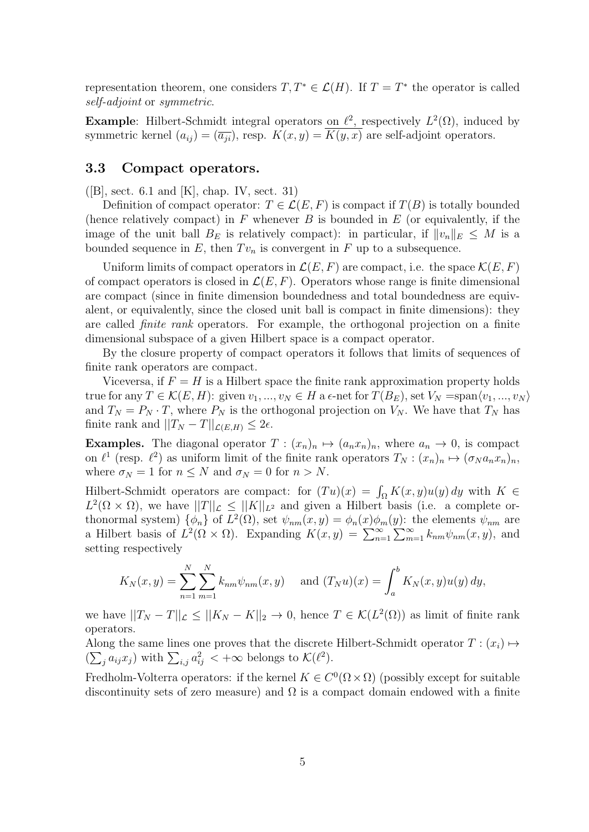representation theorem, one considers  $T, T^* \in \mathcal{L}(H)$ . If  $T = T^*$  the operator is called self-adjoint or symmetric.

**Example:** Hilbert-Schmidt integral operators on  $\ell^2$ , respectively  $L^2(\Omega)$ , induced by symmetric kernel  $(a_{ij}) = (\overline{a_{ji}})$ , resp.  $K(x, y) = K(y, x)$  are self-adjoint operators.

#### 3.3 Compact operators.

 $([B], \text{sect. } 6.1 \text{ and } [K], \text{ chap. } IV, \text{ sect. } 31)$ 

Definition of compact operator:  $T \in \mathcal{L}(E, F)$  is compact if  $T(B)$  is totally bounded (hence relatively compact) in F whenever B is bounded in  $E$  (or equivalently, if the image of the unit ball  $B_E$  is relatively compact): in particular, if  $||v_n||_E \leq M$  is a bounded sequence in E, then  $Tv_n$  is convergent in F up to a subsequence.

Uniform limits of compact operators in  $\mathcal{L}(E, F)$  are compact, i.e. the space  $\mathcal{K}(E, F)$ of compact operators is closed in  $\mathcal{L}(E, F)$ . Operators whose range is finite dimensional are compact (since in finite dimension boundedness and total boundedness are equivalent, or equivalently, since the closed unit ball is compact in finite dimensions): they are called finite rank operators. For example, the orthogonal projection on a finite dimensional subspace of a given Hilbert space is a compact operator.

By the closure property of compact operators it follows that limits of sequences of finite rank operators are compact.

Viceversa, if  $F = H$  is a Hilbert space the finite rank approximation property holds true for any  $T \in \mathcal{K}(E, H)$ : given  $v_1, ..., v_N \in H$  a  $\epsilon$ -net for  $T(B_E)$ , set  $V_N = \text{span}\langle v_1, ..., v_N \rangle$ and  $T_N = P_N \cdot T$ , where  $P_N$  is the orthogonal projection on  $V_N$ . We have that  $T_N$  has finite rank and  $||T_N - T||_{\mathcal{L}(E,H)} \leq 2\epsilon$ .

**Examples.** The diagonal operator  $T : (x_n)_n \mapsto (a_n x_n)_n$ , where  $a_n \to 0$ , is compact on  $\ell^1$  (resp.  $\ell^2$ ) as uniform limit of the finite rank operators  $T_N : (x_n)_n \mapsto (\sigma_N a_n x_n)_n$ , where  $\sigma_N = 1$  for  $n \leq N$  and  $\sigma_N = 0$  for  $n > N$ .

Hilbert-Schmidt operators are compact: for  $(Tu)(x) = \int_{\Omega} K(x, y)u(y) dy$  with  $K \in$  $L^2(\Omega \times \Omega)$ , we have  $||T||_{\mathcal{L}} \leq ||K||_{L^2}$  and given a Hilbert basis (i.e. a complete orthonormal system)  $\{\phi_n\}$  of  $L^2(\Omega)$ , set  $\psi_{nm}(x, y) = \phi_n(x)\phi_m(y)$ : the elements  $\psi_{nm}$  are a Hilbert basis of  $L^2(\Omega \times \Omega)$ . Expanding  $K(x, y) = \sum_{n=1}^{\infty} \sum_{m=1}^{\infty} k_{nm} \psi_{nm}(x, y)$ , and setting respectively

$$
K_N(x, y) = \sum_{n=1}^N \sum_{m=1}^N k_{nm} \psi_{nm}(x, y)
$$
 and  $(T_N u)(x) = \int_a^b K_N(x, y) u(y) dy$ ,

we have  $||T_N - T||_{\mathcal{L}} \le ||K_N - K||_2 \to 0$ , hence  $T \in \mathcal{K}(L^2(\Omega))$  as limit of finite rank operators.

Along the same lines one proves that the discrete Hilbert-Schmidt operator  $T : (x_i) \mapsto$  $(\sum_j a_{ij} x_j)$  with  $\sum_{i,j} a_{ij}^2 < +\infty$  belongs to  $\mathcal{K}(\ell^2)$ .

Fredholm-Volterra operators: if the kernel  $K \in C^{0}(\Omega \times \Omega)$  (possibly except for suitable discontinuity sets of zero measure) and  $\Omega$  is a compact domain endowed with a finite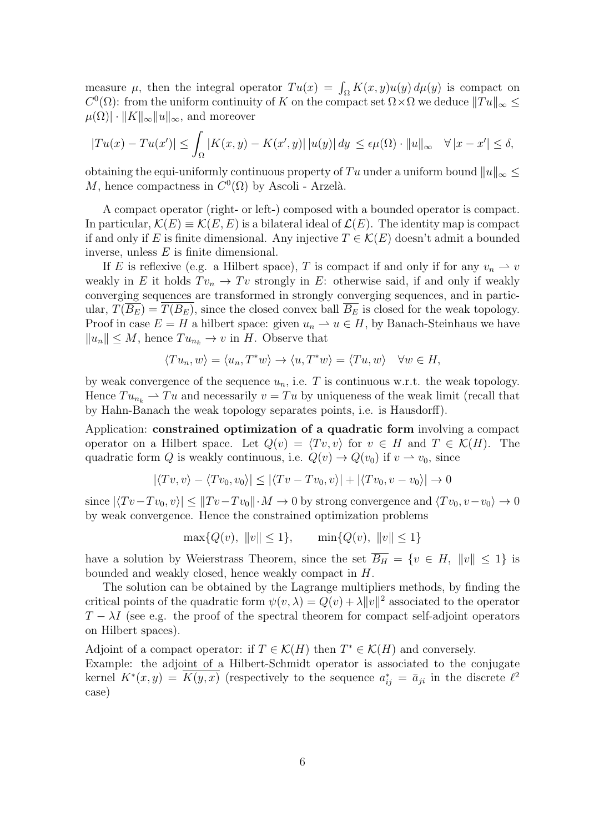measure  $\mu$ , then the integral operator  $Tu(x) = \int_{\Omega} K(x, y)u(y) d\mu(y)$  is compact on  $C^0(\Omega)$ : from the uniform continuity of K on the compact set  $\Omega \times \Omega$  we deduce  $||Tu||_{\infty} \le$  $\mu(\Omega) \cdot ||K||_{\infty} ||u||_{\infty}$ , and moreover

$$
|Tu(x) - Tu(x')| \le \int_{\Omega} |K(x, y) - K(x', y)| \, |u(y)| \, dy \le \epsilon \mu(\Omega) \cdot \|u\|_{\infty} \quad \forall |x - x'| \le \delta,
$$

obtaining the equi-uniformly continuous property of Tu under a uniform bound  $||u||_{\infty} \leq$ M, hence compactness in  $C^0(\Omega)$  by Ascoli - Arzelà.

A compact operator (right- or left-) composed with a bounded operator is compact. In particular,  $\mathcal{K}(E) \equiv \mathcal{K}(E, E)$  is a bilateral ideal of  $\mathcal{L}(E)$ . The identity map is compact if and only if E is finite dimensional. Any injective  $T \in \mathcal{K}(E)$  doesn't admit a bounded inverse, unless  $E$  is finite dimensional.

If E is reflexive (e.g. a Hilbert space), T is compact if and only if for any  $v_n \rightharpoonup v$ weakly in E it holds  $Tv_n \to Tv$  strongly in E: otherwise said, if and only if weakly converging sequences are transformed in strongly converging sequences, and in particular,  $T(\overline{B_E}) = T(B_E)$ , since the closed convex ball  $\overline{B_E}$  is closed for the weak topology. Proof in case  $E = H$  a hilbert space: given  $u_n \rightharpoonup u \in H$ , by Banach-Steinhaus we have  $||u_n|| \leq M$ , hence  $Tu_{n_k} \to v$  in H. Observe that

$$
\langle Tu_n, w \rangle = \langle u_n, T^*w \rangle \to \langle u, T^*w \rangle = \langle Tu, w \rangle \quad \forall w \in H,
$$

by weak convergence of the sequence  $u_n$ , i.e. T is continuous w.r.t. the weak topology. Hence  $Tu_{n_k} \rightharpoonup Tu$  and necessarily  $v = Tu$  by uniqueness of the weak limit (recall that by Hahn-Banach the weak topology separates points, i.e. is Hausdorff).

Application: constrained optimization of a quadratic form involving a compact operator on a Hilbert space. Let  $Q(v) = \langle Tv, v \rangle$  for  $v \in H$  and  $T \in \mathcal{K}(H)$ . The quadratic form Q is weakly continuous, i.e.  $Q(v) \to Q(v_0)$  if  $v \to v_0$ , since

$$
|\langle Tv, v \rangle - \langle Tv_0, v_0 \rangle| \le |\langle Tv - Tv_0, v \rangle| + |\langle Tv_0, v - v_0 \rangle| \to 0
$$

since  $|\langle Tv-Tv_0, v\rangle| \leq ||Tv-Tv_0|| \cdot M \to 0$  by strong convergence and  $\langle Tv_0, v-v_0\rangle \to 0$ by weak convergence. Hence the constrained optimization problems

$$
\max\{Q(v), \|v\| \le 1\}, \qquad \min\{Q(v), \|v\| \le 1\}
$$

have a solution by Weierstrass Theorem, since the set  $\overline{B_H} = \{v \in H, ||v|| \leq 1\}$  is bounded and weakly closed, hence weakly compact in H.

The solution can be obtained by the Lagrange multipliers methods, by finding the critical points of the quadratic form  $\psi(v, \lambda) = Q(v) + \lambda ||v||^2$  associated to the operator  $T - \lambda I$  (see e.g. the proof of the spectral theorem for compact self-adjoint operators on Hilbert spaces).

Adjoint of a compact operator: if  $T \in \mathcal{K}(H)$  then  $T^* \in \mathcal{K}(H)$  and conversely. Example: the adjoint of a Hilbert-Schmidt operator is associated to the conjugate kernel  $K^*(x, y) = \overline{K(y, x)}$  (respectively to the sequence  $a_{ij}^* = \overline{a}_{ji}$  in the discrete  $\ell^2$ case)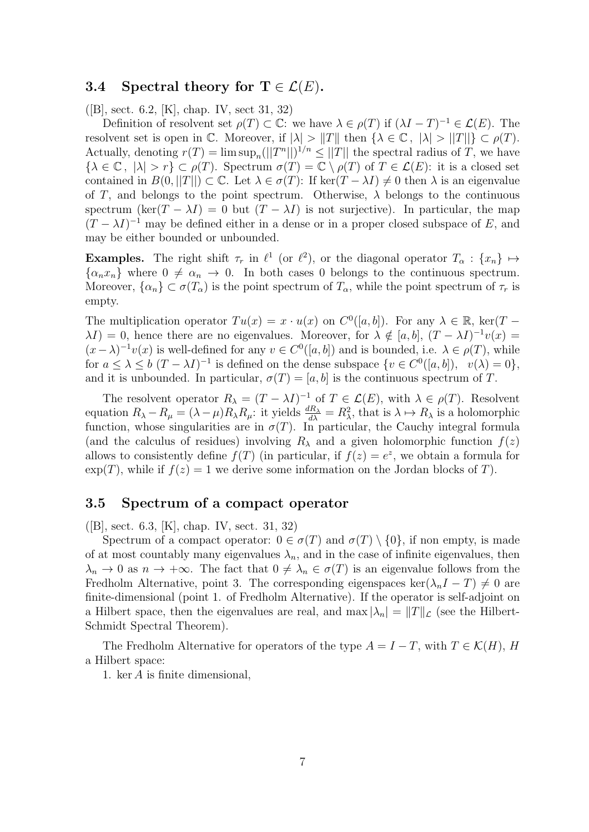#### 3.4 Spectral theory for  $\mathbf{T} \in \mathcal{L}(E)$ .

([B], sect. 6.2, [K], chap. IV, sect 31, 32)

Definition of resolvent set  $\rho(T) \subset \mathbb{C}$ : we have  $\lambda \in \rho(T)$  if  $(\lambda I - T)^{-1} \in \mathcal{L}(E)$ . The resolvent set is open in C. Moreover, if  $|\lambda| > ||T||$  then  $\{\lambda \in \mathbb{C}, |\lambda| > ||T||\} \subset \rho(T)$ . Actually, denoting  $r(T) = \limsup_n (||T^n||)^{1/n} \le ||T||$  the spectral radius of T, we have  ${\lbrace \lambda \in \mathbb{C}, |\lambda| > r \rbrace \subset \rho(T)}$ . Spectrum  $\sigma(T) = \mathbb{C} \setminus \rho(T)$  of  $T \in \mathcal{L}(E)$ : it is a closed set contained in  $B(0,||T||) \subset \mathbb{C}$ . Let  $\lambda \in \sigma(T)$ : If ker $(T - \lambda I) \neq 0$  then  $\lambda$  is an eigenvalue of T, and belongs to the point spectrum. Otherwise,  $\lambda$  belongs to the continuous spectrum (ker(T –  $\lambda I$ ) = 0 but (T –  $\lambda I$ ) is not surjective). In particular, the map  $(T - \lambda I)^{-1}$  may be defined either in a dense or in a proper closed subspace of E, and may be either bounded or unbounded.

**Examples.** The right shift  $\tau_r$  in  $\ell^1$  (or  $\ell^2$ ), or the diagonal operator  $T_\alpha$ :  $\{x_n\} \mapsto$  $\{\alpha_n x_n\}$  where  $0 \neq \alpha_n \to 0$ . In both cases 0 belongs to the continuous spectrum. Moreover,  $\{\alpha_n\} \subset \sigma(T_\alpha)$  is the point spectrum of  $T_\alpha$ , while the point spectrum of  $\tau_r$  is empty.

The multiplication operator  $Tu(x) = x \cdot u(x)$  on  $C^0([a, b])$ . For any  $\lambda \in \mathbb{R}$ , ker $(T \lambda I$ ) = 0, hence there are no eigenvalues. Moreover, for  $\lambda \notin [a, b]$ ,  $(T - \lambda I)^{-1}v(x)$  =  $(x - \lambda)^{-1}v(x)$  is well-defined for any  $v \in C^{0}([a, b])$  and is bounded, i.e.  $\lambda \in \rho(T)$ , while for  $a \leq \lambda \leq b$   $(T - \lambda I)^{-1}$  is defined on the dense subspace  $\{v \in C^0([a, b]), v(\lambda) = 0\},\$ and it is unbounded. In particular,  $\sigma(T) = [a, b]$  is the continuous spectrum of T.

The resolvent operator  $R_{\lambda} = (T - \lambda I)^{-1}$  of  $T \in \mathcal{L}(E)$ , with  $\lambda \in \rho(T)$ . Resolvent equation  $R_{\lambda} - R_{\mu} = (\lambda - \mu) R_{\lambda} R_{\mu}$ : it yields  $\frac{dR_{\lambda}}{d\lambda} = R_{\lambda}^2$ , that is  $\lambda \mapsto R_{\lambda}$  is a holomorphic function, whose singularities are in  $\sigma(T)$ . In particular, the Cauchy integral formula (and the calculus of residues) involving  $R_{\lambda}$  and a given holomorphic function  $f(z)$ allows to consistently define  $f(T)$  (in particular, if  $f(z) = e^z$ , we obtain a formula for  $\exp(T)$ , while if  $f(z) = 1$  we derive some information on the Jordan blocks of T).

#### 3.5 Spectrum of a compact operator

([B], sect. 6.3, [K], chap. IV, sect. 31, 32)

Spectrum of a compact operator:  $0 \in \sigma(T)$  and  $\sigma(T) \setminus \{0\}$ , if non empty, is made of at most countably many eigenvalues  $\lambda_n$ , and in the case of infinite eigenvalues, then  $\lambda_n \to 0$  as  $n \to +\infty$ . The fact that  $0 \neq \lambda_n \in \sigma(T)$  is an eigenvalue follows from the Fredholm Alternative, point 3. The corresponding eigenspaces ker( $\lambda_n I - T$ )  $\neq 0$  are finite-dimensional (point 1. of Fredholm Alternative). If the operator is self-adjoint on a Hilbert space, then the eigenvalues are real, and  $\max |\lambda_n| = ||T||_{\mathcal{L}}$  (see the Hilbert-Schmidt Spectral Theorem).

The Fredholm Alternative for operators of the type  $A = I - T$ , with  $T \in \mathcal{K}(H)$ , H a Hilbert space:

1. ker A is finite dimensional,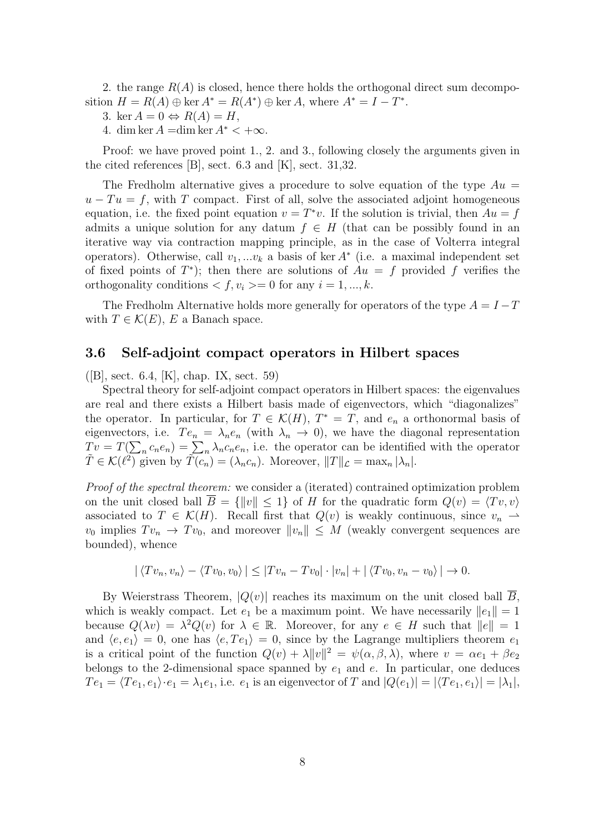2. the range  $R(A)$  is closed, hence there holds the orthogonal direct sum decomposition  $H = R(A) \oplus \text{ker } A^* = R(A^*) \oplus \text{ker } A$ , where  $A^* = I - T^*$ .

3. ker  $A = 0 \Leftrightarrow R(A) = H$ ,

4. dim ker  $A = \dim \ker A^* < +\infty$ .

Proof: we have proved point 1., 2. and 3., following closely the arguments given in the cited references [B], sect. 6.3 and [K], sect. 31,32.

The Fredholm alternative gives a procedure to solve equation of the type  $Au =$  $u - Tu = f$ , with T compact. First of all, solve the associated adjoint homogeneous equation, i.e. the fixed point equation  $v = T^*v$ . If the solution is trivial, then  $Au = f$ admits a unique solution for any datum  $f \in H$  (that can be possibly found in an iterative way via contraction mapping principle, as in the case of Volterra integral operators). Otherwise, call  $v_1, \ldots v_k$  a basis of ker  $A^*$  (i.e. a maximal independent set of fixed points of  $T^*$ ); then there are solutions of  $Au = f$  provided f verifies the orthogonality conditions  $\langle f, v_i \rangle = 0$  for any  $i = 1, ..., k$ .

The Fredholm Alternative holds more generally for operators of the type  $A = I - T$ with  $T \in \mathcal{K}(E)$ , E a Banach space.

#### 3.6 Self-adjoint compact operators in Hilbert spaces

([B], sect. 6.4, [K], chap. IX, sect. 59)

Spectral theory for self-adjoint compact operators in Hilbert spaces: the eigenvalues are real and there exists a Hilbert basis made of eigenvectors, which "diagonalizes" the operator. In particular, for  $T \in \mathcal{K}(H)$ ,  $T^* = T$ , and  $e_n$  a orthonormal basis of eigenvectors, i.e.  $Te_n = \lambda_n e_n$  (with  $\lambda_n \to 0$ ), we have the diagonal representation  $Tv = T(\sum_n c_n e_n) = \sum_n \lambda_n c_n e_n$ , i.e. the operator can be identified with the operator  $\widetilde{T} \in \mathcal{K}(\ell^2)$  given by  $\widetilde{T(c_n)} = (\lambda_n c_n)$ . Moreover,  $||T||_{\mathcal{L}} = \max_n |\lambda_n|$ .

Proof of the spectral theorem: we consider a (iterated) contrained optimization problem on the unit closed ball  $\overline{B} = \{\Vert v \Vert \leq 1\}$  of H for the quadratic form  $Q(v) = \langle Tv, v \rangle$ associated to  $T \in \mathcal{K}(H)$ . Recall first that  $Q(v)$  is weakly continuous, since  $v_n \rightharpoonup$  $v_0$  implies  $Tv_n \to Tv_0$ , and moreover  $||v_n|| \leq M$  (weakly convergent sequences are bounded), whence

$$
|\langle Tv_n, v_n \rangle - \langle Tv_0, v_0 \rangle| \leq |Tv_n - Tv_0| \cdot |v_n| + |\langle Tv_0, v_n - v_0 \rangle| \to 0.
$$

By Weierstrass Theorem,  $|Q(v)|$  reaches its maximum on the unit closed ball  $\overline{B}$ , which is weakly compact. Let  $e_1$  be a maximum point. We have necessarily  $||e_1|| = 1$ because  $Q(\lambda v) = \lambda^2 Q(v)$  for  $\lambda \in \mathbb{R}$ . Moreover, for any  $e \in H$  such that  $||e|| = 1$ and  $\langle e, e_1 \rangle = 0$ , one has  $\langle e, Te_1 \rangle = 0$ , since by the Lagrange multipliers theorem  $e_1$ is a critical point of the function  $Q(v) + \lambda ||v||^2 = \psi(\alpha, \beta, \lambda)$ , where  $v = \alpha e_1 + \beta e_2$ belongs to the 2-dimensional space spanned by  $e_1$  and  $e$ . In particular, one deduces  $Te_1 = \langle Te_1, e_1 \rangle \cdot e_1 = \lambda_1 e_1$ , i.e.  $e_1$  is an eigenvector of T and  $|Q(e_1)| = |\langle Te_1, e_1 \rangle| = |\lambda_1|$ ,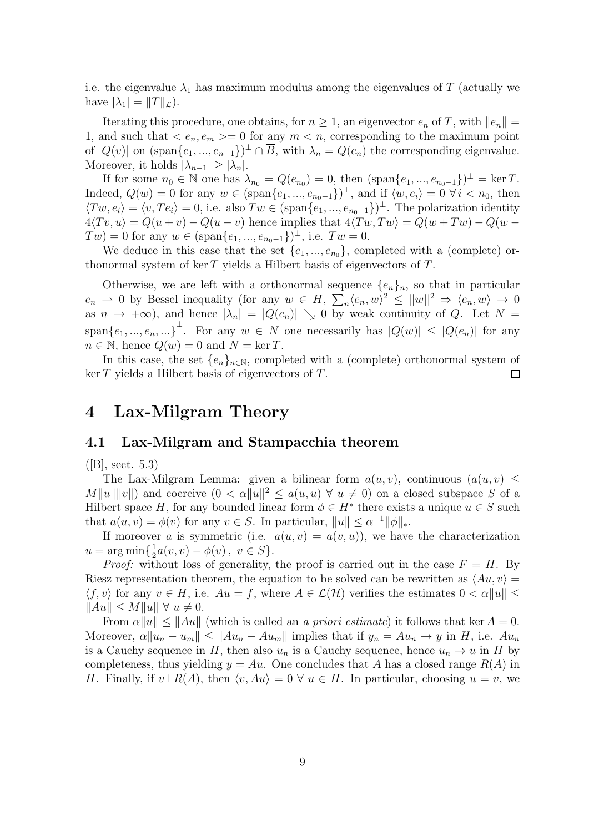i.e. the eigenvalue  $\lambda_1$  has maximum modulus among the eigenvalues of T (actually we have  $|\lambda_1| = ||T||_{\mathcal{L}}$ .

Iterating this procedure, one obtains, for  $n \geq 1$ , an eigenvector  $e_n$  of T, with  $||e_n|| =$ 1, and such that  $\langle e_n, e_m \rangle = 0$  for any  $m \langle n \rangle$ , corresponding to the maximum point of  $|Q(v)|$  on  $(\text{span}\{e_1, ..., e_{n-1}\})^{\perp} \cap \overline{B}$ , with  $\lambda_n = Q(e_n)$  the corresponding eigenvalue. Moreover, it holds  $|\lambda_{n-1}| \geq |\lambda_n|$ .

If for some  $n_0 \in \mathbb{N}$  one has  $\lambda_{n_0} = Q(e_{n_0}) = 0$ , then  $(\text{span}\{e_1, ..., e_{n_0-1}\})^{\perp} = \ker T$ . Indeed,  $Q(w) = 0$  for any  $w \in (\text{span}\{e_1, ..., e_{n_0-1}\})^{\perp}$ , and if  $\langle w, e_i \rangle = 0 \ \forall i \langle n_0, \text{ then}$  $\langle Tw, e_i \rangle = \langle v, Te_i \rangle = 0$ , i.e. also  $Tw \in (\text{span}\{e_1, ..., e_{n_0-1}\})^{\perp}$ . The polarization identity  $4\langle Tv, u \rangle = Q(u+v) - Q(u-v)$  hence implies that  $4\langle Tw, Tw \rangle = Q(w+Tw) - Q(w-v)$  $Tw) = 0$  for any  $w \in (\text{span}\{e_1, ..., e_{n_0-1}\})^{\perp}$ , i.e.  $Tw = 0$ .

We deduce in this case that the set  $\{e_1, ..., e_{n_0}\}$ , completed with a (complete) orthonormal system of ker  $T$  yields a Hilbert basis of eigenvectors of  $T$ .

Otherwise, we are left with a orthonormal sequence  ${e_n}_n$ , so that in particular  $e_n \rightharpoonup 0$  by Bessel inequality (for any  $w \in H$ ,  $\sum_n \langle e_n, w \rangle^2 \le ||w||^2 \Rightarrow \langle e_n, w \rangle \to 0$ as  $n \to +\infty$ , and hence  $|\lambda_n| = |Q(e_n)| \searrow 0$  by weak continuity of Q. Let  $N =$  $\overline{\text{span}\{e_1, ..., e_n, ...\}}^{\perp}$ . For any  $w \in N$  one necessarily has  $|Q(w)| \leq |Q(e_n)|$  for any  $n \in \mathbb{N}$ , hence  $Q(w) = 0$  and  $N = \ker T$ .

In this case, the set  $\{e_n\}_{n\in\mathbb{N}}$ , completed with a (complete) orthonormal system of  $\ker T$  yields a Hilbert basis of eigenvectors of T.  $\Box$ 

## 4 Lax-Milgram Theory

#### 4.1 Lax-Milgram and Stampacchia theorem

 $([B], \, \text{sect. } 5.3)$ 

The Lax-Milgram Lemma: given a bilinear form  $a(u, v)$ , continuous  $(a(u, v) \leq$  $M||u|| ||v||$  and coercive  $(0 < \alpha ||u||^2 \le a(u,u) \ \forall u \neq 0)$  on a closed subspace S of a Hilbert space H, for any bounded linear form  $\phi \in H^*$  there exists a unique  $u \in S$  such that  $a(u, v) = \phi(v)$  for any  $v \in S$ . In particular,  $||u|| \leq \alpha^{-1} ||\phi||_*$ .

If moreover a is symmetric (i.e.  $a(u, v) = a(v, u)$ ), we have the characterization  $u = \arg \min \{\frac{1}{2}$  $\frac{1}{2}a(v, v) - \phi(v), v \in S$ .

*Proof:* without loss of generality, the proof is carried out in the case  $F = H$ . By Riesz representation theorem, the equation to be solved can be rewritten as  $\langle Au, v \rangle =$  $\langle f, v \rangle$  for any  $v \in H$ , i.e.  $Au = f$ , where  $A \in \mathcal{L}(\mathcal{H})$  verifies the estimates  $0 < \alpha ||u|| \leq$  $\|Au\| \le M \|u\| \ \forall \ u \neq 0.$ 

From  $\alpha \|u\| \le \|Au\|$  (which is called an a priori estimate) it follows that ker  $A = 0$ . Moreover,  $\alpha \|u_n - u_m\| \leq \|Au_n - Au_m\|$  implies that if  $y_n = Au_n \to y$  in H, i.e.  $Au_n$ is a Cauchy sequence in H, then also  $u_n$  is a Cauchy sequence, hence  $u_n \to u$  in H by completeness, thus yielding  $y = Au$ . One concludes that A has a closed range  $R(A)$  in H. Finally, if  $v \perp R(A)$ , then  $\langle v, Au \rangle = 0 \ \forall u \in H$ . In particular, choosing  $u = v$ , we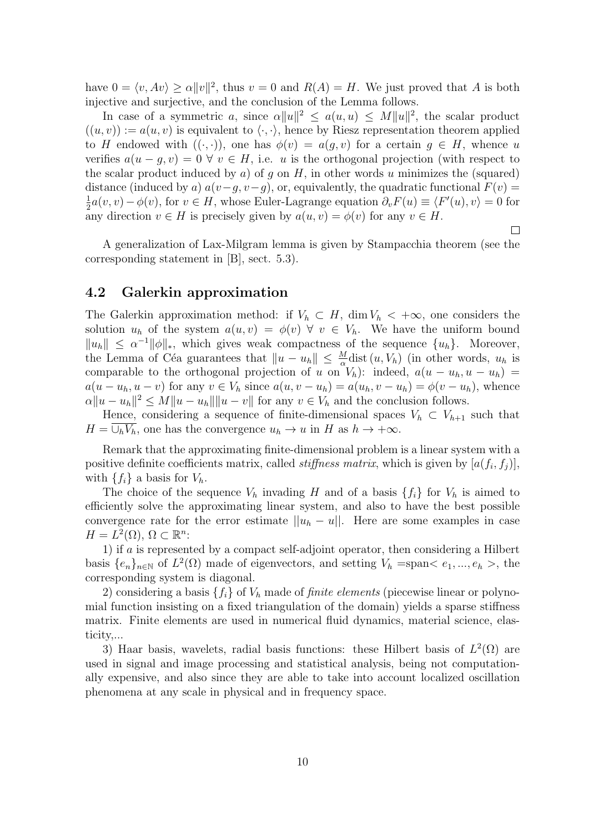have  $0 = \langle v, Av \rangle \ge \alpha ||v||^2$ , thus  $v = 0$  and  $R(A) = H$ . We just proved that A is both injective and surjective, and the conclusion of the Lemma follows.

In case of a symmetric a, since  $\alpha ||u||^2 \leq a(u,u) \leq M ||u||^2$ , the scalar product  $((u, v)) := a(u, v)$  is equivalent to  $\langle \cdot, \cdot \rangle$ , hence by Riesz representation theorem applied to H endowed with  $((\cdot,\cdot))$ , one has  $\phi(v) = a(q, v)$  for a certain  $q \in H$ , whence u verifies  $a(u-g, v) = 0 \ \forall \ v \in H$ , i.e. u is the orthogonal projection (with respect to the scalar product induced by a) of q on  $H$ , in other words u minimizes the (squared) distance (induced by a)  $a(v-g, v-g)$ , or, equivalently, the quadratic functional  $F(v)$  = 1  $\frac{1}{2}a(v, v) - \phi(v)$ , for  $v \in H$ , whose Euler-Lagrange equation  $\partial_v F(u) \equiv \langle F'(u), v \rangle = 0$  for any direction  $v \in H$  is precisely given by  $a(u, v) = \phi(v)$  for any  $v \in H$ .

A generalization of Lax-Milgram lemma is given by Stampacchia theorem (see the corresponding statement in [B], sect. 5.3).

 $\Box$ 

#### 4.2 Galerkin approximation

The Galerkin approximation method: if  $V_h \subset H$ , dim  $V_h \langle +\infty$ , one considers the solution  $u_h$  of the system  $a(u, v) = \phi(v) \ \forall \ v \in V_h$ . We have the uniform bound  $||u_h|| \leq \alpha^{-1} ||\phi||_*,$  which gives weak compactness of the sequence  $\{u_h\}.$  Moreover, the Lemma of Céa guarantees that  $||u - u_h|| \leq \frac{M}{\alpha}$ dist  $(u, V_h)$  (in other words,  $u_h$  is comparable to the orthogonal projection of u on  $V_h$ ): indeed,  $a(u - u_h, u - u_h)$  $a(u - u_h, u - v)$  for any  $v \in V_h$  since  $a(u, v - u_h) = a(u_h, v - u_h) = \phi(v - u_h)$ , whence  $\alpha \|u - u_h\|^2 \le M \|u - u_h\| \|u - v\|$  for any  $v \in V_h$  and the conclusion follows.

Hence, considering a sequence of finite-dimensional spaces  $V_h \subset V_{h+1}$  such that  $H = \bigcup_h V_h$ , one has the convergence  $u_h \to u$  in H as  $h \to +\infty$ .

Remark that the approximating finite-dimensional problem is a linear system with a positive definite coefficients matrix, called *stiffness matrix*, which is given by  $[a(f_i, f_j)],$ with  $\{f_i\}$  a basis for  $V_h$ .

The choice of the sequence  $V_h$  invading H and of a basis  $\{f_i\}$  for  $V_h$  is aimed to efficiently solve the approximating linear system, and also to have the best possible convergence rate for the error estimate  $||u_h - u||$ . Here are some examples in case  $H = L^2(\Omega), \, \Omega \subset \mathbb{R}^n$ :

1) if a is represented by a compact self-adjoint operator, then considering a Hilbert basis  $\{e_n\}_{n\in\mathbb{N}}$  of  $L^2(\Omega)$  made of eigenvectors, and setting  $V_h = \text{span} \langle e_1, ..., e_h \rangle$ , the corresponding system is diagonal.

2) considering a basis  $\{f_i\}$  of  $V_h$  made of *finite elements* (piecewise linear or polynomial function insisting on a fixed triangulation of the domain) yields a sparse stiffness matrix. Finite elements are used in numerical fluid dynamics, material science, elasticity,...

3) Haar basis, wavelets, radial basis functions: these Hilbert basis of  $L^2(\Omega)$  are used in signal and image processing and statistical analysis, being not computationally expensive, and also since they are able to take into account localized oscillation phenomena at any scale in physical and in frequency space.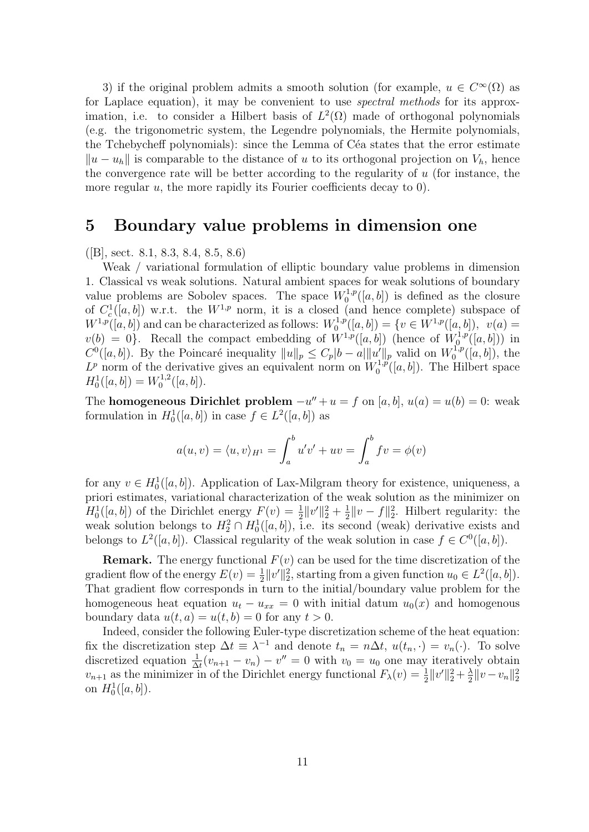3) if the original problem admits a smooth solution (for example,  $u \in C^{\infty}(\Omega)$  as for Laplace equation), it may be convenient to use spectral methods for its approximation, i.e. to consider a Hilbert basis of  $L^2(\Omega)$  made of orthogonal polynomials (e.g. the trigonometric system, the Legendre polynomials, the Hermite polynomials, the Tchebycheff polynomials): since the Lemma of Céa states that the error estimate  $||u - u_h||$  is comparable to the distance of u to its orthogonal projection on  $V_h$ , hence the convergence rate will be better according to the regularity of  $u$  (for instance, the more regular  $u$ , the more rapidly its Fourier coefficients decay to 0).

### 5 Boundary value problems in dimension one

([B], sect. 8.1, 8.3, 8.4, 8.5, 8.6)

Weak / variational formulation of elliptic boundary value problems in dimension 1. Classical vs weak solutions. Natural ambient spaces for weak solutions of boundary value problems are Sobolev spaces. The space  $W_0^{1,p}([a, b])$  is defined as the closure 0 of  $C_c^1([a, b])$  w.r.t. the  $W^{1,p}$  norm, it is a closed (and hence complete) subspace of  $W^{1,p}([a, b])$  and can be characterized as follows:  $W_0^{1,p}$  $C_0^{1,p}([a,b]) = \{v \in W^{1,p}([a,b]),\,\, \, v(a) = 0\}$  $v(b) = 0$ . Recall the compact embedding of  $W^{1,p}([a, b])$  (hence of  $W^{1,p}_0$  $b_0^{r1,p}([a,b]))$  in  $C^0([a, b])$ . By the Poincaré inequality  $||u||_p \leq C_p|b-a|||u'||_p$  valid on  $W_0^{1,p}$  $b_0^{1,p}([a, b]),$  the  $L^p$  norm of the derivative gives an equivalent norm on  $W_0^{1,p}$  $\binom{1,p}{0}$  $(n,b)$ . The Hilbert space  $H_0^1([a, b]) = W_0^{1,2}$  $\binom{1,2}{0}$   $([a, b]).$ 

The **homogeneous Dirichlet problem**  $-u'' + u = f$  on [a, b],  $u(a) = u(b) = 0$ : weak formulation in  $H_0^1([a, b])$  in case  $f \in L^2([a, b])$  as

$$
a(u,v) = \langle u,v \rangle_{H^1} = \int_a^b u'v' + uv = \int_a^b fv = \phi(v)
$$

for any  $v \in H_0^1([a, b])$ . Application of Lax-Milgram theory for existence, uniqueness, a priori estimates, variational characterization of the weak solution as the minimizer on  $H_0^1([a, b])$  of the Dirichlet energy  $F(v) = \frac{1}{2} ||v'||_2^2 + \frac{1}{2}$  $\frac{1}{2}||v-f||_2^2$ . Hilbert regularity: the weak solution belongs to  $H_2^2 \cap H_0^1([a, b])$ , i.e. its second (weak) derivative exists and belongs to  $L^2([a, b])$ . Classical regularity of the weak solution in case  $f \in C^0([a, b])$ .

**Remark.** The energy functional  $F(v)$  can be used for the time discretization of the gradient flow of the energy  $E(v) = \frac{1}{2} ||v'||_2^2$ , starting from a given function  $u_0 \in L^2([a, b])$ . That gradient flow corresponds in turn to the initial/boundary value problem for the homogeneous heat equation  $u_t - u_{xx} = 0$  with initial datum  $u_0(x)$  and homogenous boundary data  $u(t, a) = u(t, b) = 0$  for any  $t > 0$ .

Indeed, consider the following Euler-type discretization scheme of the heat equation: fix the discretization step  $\Delta t \equiv \lambda^{-1}$  and denote  $t_n = n\Delta t$ ,  $u(t_n, \cdot) = v_n(\cdot)$ . To solve discretized equation  $\frac{1}{\Delta t}(v_{n+1} - v_n) - v'' = 0$  with  $v_0 = u_0$  one may iteratively obtain  $v_{n+1}$  as the minimizer in of the Dirichlet energy functional  $F_{\lambda}(v) = \frac{1}{2} ||v'||_2^2 + \frac{\lambda}{2}$  $\frac{\lambda}{2} \|v - v_n\|_2^2$ on  $H_0^1([a, b]).$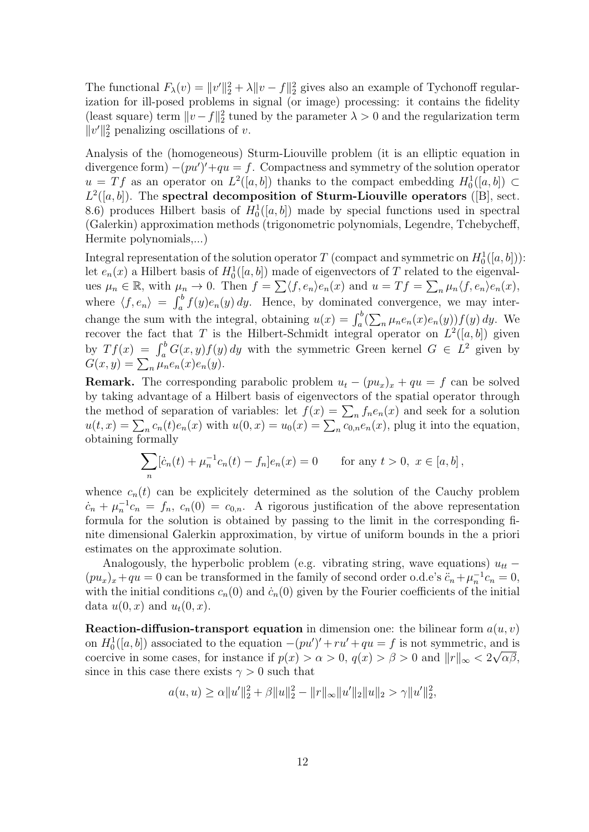The functional  $F_{\lambda}(v) = ||v'||_2^2 + \lambda ||v - f||_2^2$  gives also an example of Tychonoff regularization for ill-posed problems in signal (or image) processing: it contains the fidelity (least square) term  $||v - f||_2^2$  tuned by the parameter  $\lambda > 0$  and the regularization term  $||v'||_2^2$  penalizing oscillations of v.

Analysis of the (homogeneous) Sturm-Liouville problem (it is an elliptic equation in divergence form)  $-(pu')' + qu = f$ . Compactness and symmetry of the solution operator  $u = Tf$  as an operator on  $L^2([a, b])$  thanks to the compact embedding  $H_0^1([a, b]) \subset$  $L^2([a, b])$ . The spectral decomposition of Sturm-Liouville operators ([B], sect. 8.6) produces Hilbert basis of  $H_0^1([a, b])$  made by special functions used in spectral (Galerkin) approximation methods (trigonometric polynomials, Legendre, Tchebycheff, Hermite polynomials,...)

Integral representation of the solution operator T (compact and symmetric on  $H_0^1([a, b])$ ): let  $e_n(x)$  a Hilbert basis of  $H_0^1([a, b])$  made of eigenvectors of T related to the eigenvalues  $\mu_n \in \mathbb{R}$ , with  $\mu_n \to 0$ . Then  $f = \sum \langle f, e_n \rangle e_n(x)$  and  $u = Tf = \sum_n \mu_n \langle f, e_n \rangle e_n(x)$ , where  $\langle f, e_n \rangle = \int_a^b f(y)e_n(y) dy$ . Hence, by dominated convergence, we may interchange the sum with the integral, obtaining  $u(x) = \int_a^b (\sum_n \mu_n e_n(x) e_n(y)) f(y) dy$ . We recover the fact that T is the Hilbert-Schmidt integral operator on  $L^2([a, b])$  given by  $Tf(x) = \int_a^b G(x, y) f(y) dy$  with the symmetric Green kernel  $G \in L^2$  given by  $G(x, y) = \sum_{n} \mu_n e_n(x) e_n(y).$ 

**Remark.** The corresponding parabolic problem  $u_t - (pu_x)_x + qu = f$  can be solved by taking advantage of a Hilbert basis of eigenvectors of the spatial operator through the method of separation of variables: let  $f(x) = \sum_n f_n e_n(x)$  and seek for a solution  $u(t,x) = \sum_n c_n(t)e_n(x)$  with  $u(0,x) = u_0(x) = \sum_n c_{0,n}e_n(x)$ , plug it into the equation, obtaining formally

$$
\sum_{n} [\dot{c}_n(t) + \mu_n^{-1} c_n(t) - f_n] e_n(x) = 0 \quad \text{for any } t > 0, \ x \in [a, b],
$$

whence  $c_n(t)$  can be explicitely determined as the solution of the Cauchy problem  $c_n + \mu_n^{-1}c_n = f_n$ ,  $c_n(0) = c_{0,n}$ . A rigorous justification of the above representation formula for the solution is obtained by passing to the limit in the corresponding finite dimensional Galerkin approximation, by virtue of uniform bounds in the a priori estimates on the approximate solution.

Analogously, the hyperbolic problem (e.g. vibrating string, wave equations)  $u_{tt}$  −  $(pu_x)_x + qu = 0$  can be transformed in the family of second order o.d.e's  $\ddot{c}_n + \mu_n^{-1}c_n = 0$ , with the initial conditions  $c_n(0)$  and  $\dot{c}_n(0)$  given by the Fourier coefficients of the initial data  $u(0, x)$  and  $u_t(0, x)$ .

**Reaction-diffusion-transport equation** in dimension one: the bilinear form  $a(u, v)$ on  $H_0^1([a, b])$  associated to the equation  $-(pu')' + ru' + qu = f$  is not symmetric, and is coercive in some cases, for instance if  $p(x) > \alpha > 0$ ,  $q(x) > \beta > 0$  and  $||r||_{\infty} < 2\sqrt{\alpha\beta}$ , since in this case there exists  $\gamma > 0$  such that

$$
a(u, u) \ge \alpha ||u'||_2^2 + \beta ||u||_2^2 - ||r||_{\infty} ||u'||_2 ||u||_2 > \gamma ||u'||_2^2,
$$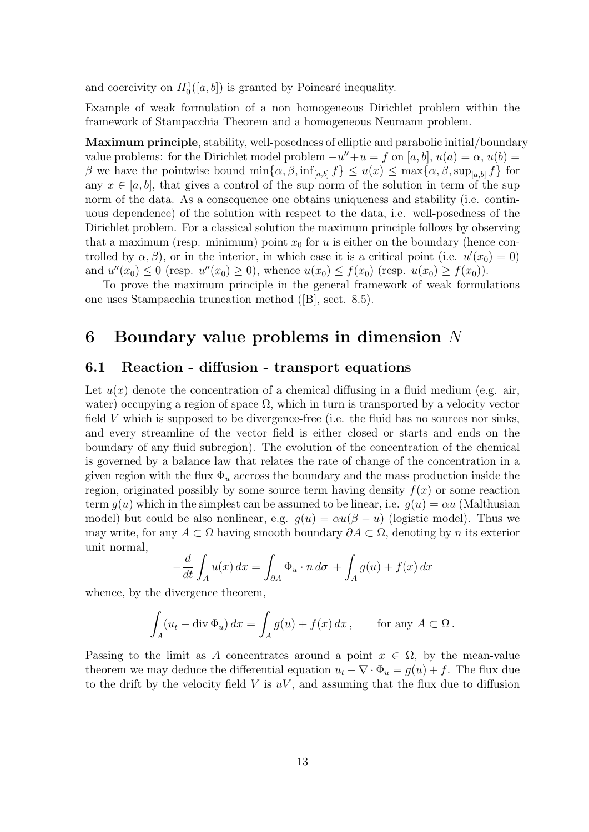and coercivity on  $H_0^1([a, b])$  is granted by Poincaré inequality.

Example of weak formulation of a non homogeneous Dirichlet problem within the framework of Stampacchia Theorem and a homogeneous Neumann problem.

Maximum principle, stability, well-posedness of elliptic and parabolic initial/boundary value problems: for the Dirichlet model problem  $-u'' + u = f$  on [a, b],  $u(a) = \alpha$ ,  $u(b) =$ β we have the pointwise bound  $\min\{\alpha, \beta, \inf_{[a,b]} f\} \leq u(x) \leq \max\{\alpha, \beta, \sup_{[a,b]} f\}$  for any  $x \in [a, b]$ , that gives a control of the sup norm of the solution in term of the sup norm of the data. As a consequence one obtains uniqueness and stability (i.e. continuous dependence) of the solution with respect to the data, i.e. well-posedness of the Dirichlet problem. For a classical solution the maximum principle follows by observing that a maximum (resp. minimum) point  $x_0$  for u is either on the boundary (hence controlled by  $\alpha, \beta$ , or in the interior, in which case it is a critical point (i.e.  $u'(x_0) = 0$ ) and  $u''(x_0) \le 0$  (resp.  $u''(x_0) \ge 0$ ), whence  $u(x_0) \le f(x_0)$  (resp.  $u(x_0) \ge f(x_0)$ ).

To prove the maximum principle in the general framework of weak formulations one uses Stampacchia truncation method ([B], sect. 8.5).

## 6 Boundary value problems in dimension N

#### 6.1 Reaction - diffusion - transport equations

Let  $u(x)$  denote the concentration of a chemical diffusing in a fluid medium (e.g. air, water) occupying a region of space  $\Omega$ , which in turn is transported by a velocity vector field  $V$  which is supposed to be divergence-free (i.e. the fluid has no sources nor sinks, and every streamline of the vector field is either closed or starts and ends on the boundary of any fluid subregion). The evolution of the concentration of the chemical is governed by a balance law that relates the rate of change of the concentration in a given region with the flux  $\Phi_u$  accross the boundary and the mass production inside the region, originated possibly by some source term having density  $f(x)$  or some reaction term  $q(u)$  which in the simplest can be assumed to be linear, i.e.  $q(u) = \alpha u$  (Malthusian model) but could be also nonlinear, e.g.  $q(u) = \alpha u(\beta - u)$  (logistic model). Thus we may write, for any  $A \subset \Omega$  having smooth boundary  $\partial A \subset \Omega$ , denoting by n its exterior unit normal,

$$
-\frac{d}{dt} \int_A u(x) dx = \int_{\partial A} \Phi_u \cdot n d\sigma + \int_A g(u) + f(x) dx
$$

whence, by the divergence theorem,

$$
\int_A (u_t - \operatorname{div} \Phi_u) \, dx = \int_A g(u) + f(x) \, dx \,, \qquad \text{for any } A \subset \Omega \,.
$$

Passing to the limit as A concentrates around a point  $x \in \Omega$ , by the mean-value theorem we may deduce the differential equation  $u_t - \nabla \cdot \Phi_u = g(u) + f$ . The flux due to the drift by the velocity field  $V$  is  $uV$ , and assuming that the flux due to diffusion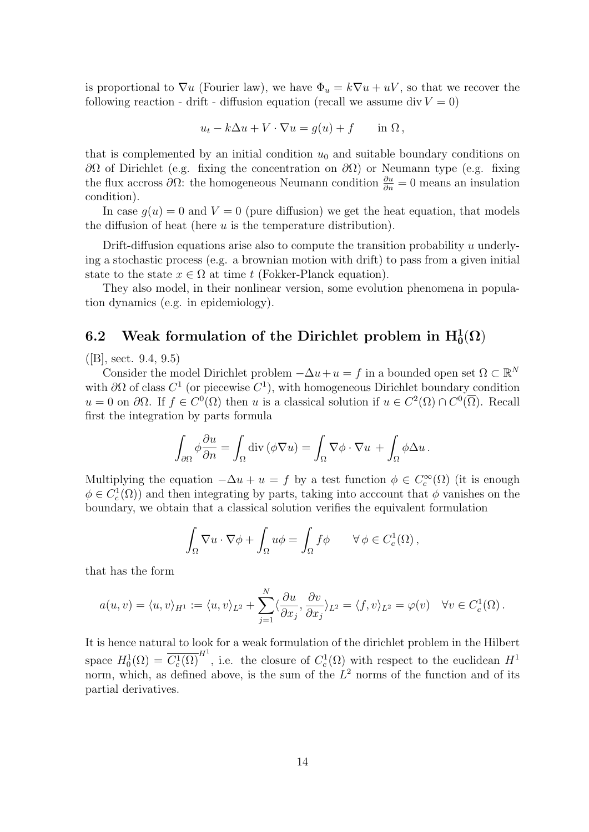is proportional to  $\nabla u$  (Fourier law), we have  $\Phi_u = k \nabla u + uV$ , so that we recover the following reaction - drift - diffusion equation (recall we assume div  $V = 0$ )

$$
u_t - k\Delta u + V \cdot \nabla u = g(u) + f \quad \text{in } \Omega,
$$

that is complemented by an initial condition  $u_0$  and suitable boundary conditions on  $\partial\Omega$  of Dirichlet (e.g. fixing the concentration on  $\partial\Omega$ ) or Neumann type (e.g. fixing the flux accross  $\partial\Omega$ : the homogeneous Neumann condition  $\frac{\partial u}{\partial n} = 0$  means an insulation condition).

In case  $q(u) = 0$  and  $V = 0$  (pure diffusion) we get the heat equation, that models the diffusion of heat (here  $u$  is the temperature distribution).

Drift-diffusion equations arise also to compute the transition probability u underlying a stochastic process (e.g. a brownian motion with drift) to pass from a given initial state to the state  $x \in \Omega$  at time t (Fokker-Planck equation).

They also model, in their nonlinear version, some evolution phenomena in population dynamics (e.g. in epidemiology).

# 6.2 Weak formulation of the Dirichlet problem in  $\mathrm{H}_0^1(\Omega)$

 $(|B|, \text{sect. } 9.4, 9.5)$ 

Consider the model Dirichlet problem  $-\Delta u + u = f$  in a bounded open set  $\Omega \subset \mathbb{R}^N$ with  $\partial\Omega$  of class  $C^1$  (or piecewise  $C^1$ ), with homogeneous Dirichlet boundary condition  $u = 0$  on  $\partial\Omega$ . If  $f \in C^{0}(\Omega)$  then u is a classical solution if  $u \in C^{2}(\Omega) \cap C^{0}(\overline{\Omega})$ . Recall first the integration by parts formula

$$
\int_{\partial\Omega} \phi \frac{\partial u}{\partial n} = \int_{\Omega} \text{div} (\phi \nabla u) = \int_{\Omega} \nabla \phi \cdot \nabla u + \int_{\Omega} \phi \Delta u.
$$

Multiplying the equation  $-\Delta u + u = f$  by a test function  $\phi \in C_c^{\infty}(\Omega)$  (it is enough  $\phi \in C_c^1(\Omega)$  and then integrating by parts, taking into acccount that  $\phi$  vanishes on the boundary, we obtain that a classical solution verifies the equivalent formulation

$$
\int_{\Omega} \nabla u \cdot \nabla \phi + \int_{\Omega} u \phi = \int_{\Omega} f \phi \qquad \forall \phi \in C_c^1(\Omega),
$$

that has the form

$$
a(u,v) = \langle u,v \rangle_{H^1} := \langle u,v \rangle_{L^2} + \sum_{j=1}^N \langle \frac{\partial u}{\partial x_j}, \frac{\partial v}{\partial x_j} \rangle_{L^2} = \langle f,v \rangle_{L^2} = \varphi(v) \quad \forall v \in C_c^1(\Omega).
$$

It is hence natural to look for a weak formulation of the dirichlet problem in the Hilbert space  $H_0^1(\Omega) = \overline{C_c^1(\Omega)}^{H^1}$ , i.e. the closure of  $C_c^1(\Omega)$  with respect to the euclidean  $H^1$ norm, which, as defined above, is the sum of the  $L^2$  norms of the function and of its partial derivatives.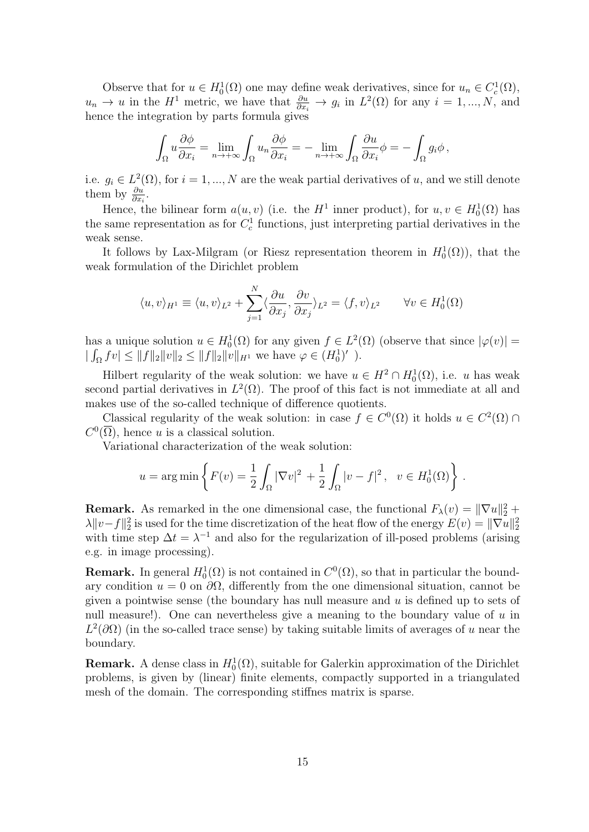Observe that for  $u \in H_0^1(\Omega)$  one may define weak derivatives, since for  $u_n \in C_c^1(\Omega)$ ,  $u_n \to u$  in the  $H^1$  metric, we have that  $\frac{\partial u}{\partial x_i} \to g_i$  in  $L^2(\Omega)$  for any  $i = 1, ..., N$ , and hence the integration by parts formula gives

$$
\int_{\Omega} u \frac{\partial \phi}{\partial x_i} = \lim_{n \to +\infty} \int_{\Omega} u_n \frac{\partial \phi}{\partial x_i} = -\lim_{n \to +\infty} \int_{\Omega} \frac{\partial u}{\partial x_i} \phi = -\int_{\Omega} g_i \phi,
$$

i.e.  $g_i \in L^2(\Omega)$ , for  $i = 1, ..., N$  are the weak partial derivatives of u, and we still denote them by  $\frac{\partial u}{\partial x_i}$ .

Hence, the bilinear form  $a(u, v)$  (i.e. the  $H^1$  inner product), for  $u, v \in H_0^1(\Omega)$  has the same representation as for  $C_c^1$  functions, just interpreting partial derivatives in the weak sense.

It follows by Lax-Milgram (or Riesz representation theorem in  $H_0^1(\Omega)$ ), that the weak formulation of the Dirichlet problem

$$
\langle u, v \rangle_{H^1} \equiv \langle u, v \rangle_{L^2} + \sum_{j=1}^N \langle \frac{\partial u}{\partial x_j}, \frac{\partial v}{\partial x_j} \rangle_{L^2} = \langle f, v \rangle_{L^2} \qquad \forall v \in H_0^1(\Omega)
$$

has a unique solution  $u \in H_0^1(\Omega)$  for any given  $f \in L^2(\Omega)$  (observe that since  $|\varphi(v)| =$  $|\int_{\Omega} f v| \leq ||f||_2 ||v||_2 \leq ||f||_2 ||v||_{H^1}$  we have  $\varphi \in (H_0^1)'$ ).

Hilbert regularity of the weak solution: we have  $u \in H^2 \cap H_0^1(\Omega)$ , i.e. u has weak second partial derivatives in  $L^2(\Omega)$ . The proof of this fact is not immediate at all and makes use of the so-called technique of difference quotients.

Classical regularity of the weak solution: in case  $f \in C^{0}(\Omega)$  it holds  $u \in C^{2}(\Omega)$  $C^0(\overline{\Omega})$ , hence u is a classical solution.

Variational characterization of the weak solution:

$$
u = \arg \min \left\{ F(v) = \frac{1}{2} \int_{\Omega} |\nabla v|^2 + \frac{1}{2} \int_{\Omega} |v - f|^2, \ v \in H_0^1(\Omega) \right\}.
$$

**Remark.** As remarked in the one dimensional case, the functional  $F_{\lambda}(v) = \|\nabla u\|_2^2 +$  $\lambda \|v-f\|_2^2$  is used for the time discretization of the heat flow of the energy  $E(v) = \|\nabla u\|_2^2$ with time step  $\Delta t = \lambda^{-1}$  and also for the regularization of ill-posed problems (arising e.g. in image processing).

**Remark.** In general  $H_0^1(\Omega)$  is not contained in  $C^0(\Omega)$ , so that in particular the boundary condition  $u = 0$  on  $\partial\Omega$ , differently from the one dimensional situation, cannot be given a pointwise sense (the boundary has null measure and  $u$  is defined up to sets of null measure!). One can nevertheless give a meaning to the boundary value of  $u$  in  $L^2(\partial\Omega)$  (in the so-called trace sense) by taking suitable limits of averages of u near the boundary.

**Remark.** A dense class in  $H_0^1(\Omega)$ , suitable for Galerkin approximation of the Dirichlet problems, is given by (linear) finite elements, compactly supported in a triangulated mesh of the domain. The corresponding stiffnes matrix is sparse.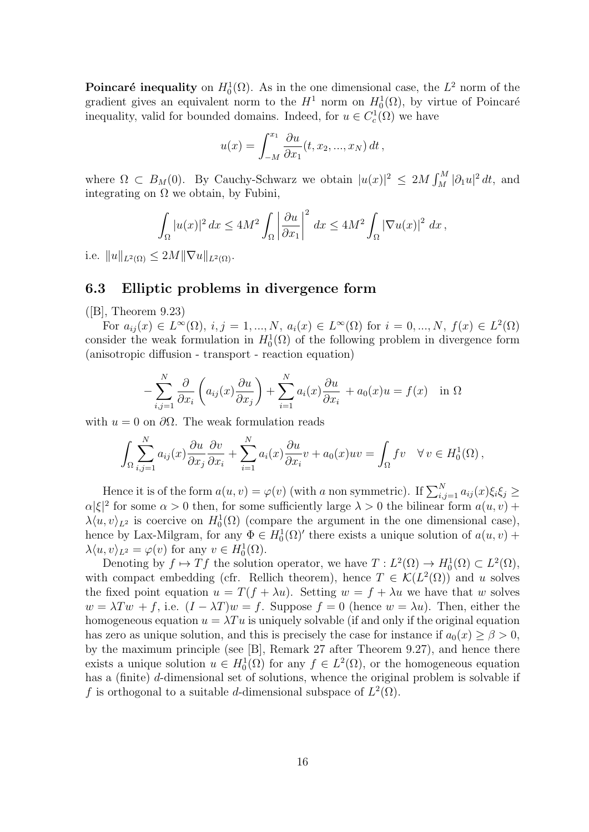Poincaré inequality on  $H_0^1(\Omega)$ . As in the one dimensional case, the  $L^2$  norm of the gradient gives an equivalent norm to the  $H^1$  norm on  $H_0^1(\Omega)$ , by virtue of Poincaré inequality, valid for bounded domains. Indeed, for  $u \in C_c^1(\Omega)$  we have

$$
u(x) = \int_{-M}^{x_1} \frac{\partial u}{\partial x_1}(t, x_2, ..., x_N) dt,
$$

where  $\Omega \subset B_M(0)$ . By Cauchy-Schwarz we obtain  $|u(x)|^2 \leq 2M \int_M^M |\partial_1 u|^2 dt$ , and integrating on  $\Omega$  we obtain, by Fubini,

$$
\int_{\Omega} |u(x)|^2 dx \le 4M^2 \int_{\Omega} \left| \frac{\partial u}{\partial x_1} \right|^2 dx \le 4M^2 \int_{\Omega} |\nabla u(x)|^2 dx,
$$

i.e.  $||u||_{L^2(\Omega)} \leq 2M||\nabla u||_{L^2(\Omega)}$ .

#### 6.3 Elliptic problems in divergence form

 $([B],$  Theorem 9.23)

For  $a_{ij}(x) \in L^{\infty}(\Omega)$ ,  $i, j = 1, ..., N$ ,  $a_i(x) \in L^{\infty}(\Omega)$  for  $i = 0, ..., N$ ,  $f(x) \in L^2(\Omega)$ consider the weak formulation in  $H_0^1(\Omega)$  of the following problem in divergence form (anisotropic diffusion - transport - reaction equation)

$$
-\sum_{i,j=1}^N \frac{\partial}{\partial x_i} \left( a_{ij}(x) \frac{\partial u}{\partial x_j} \right) + \sum_{i=1}^N a_i(x) \frac{\partial u}{\partial x_i} + a_0(x)u = f(x) \text{ in } \Omega
$$

with  $u = 0$  on  $\partial\Omega$ . The weak formulation reads

$$
\int_{\Omega} \sum_{i,j=1}^{N} a_{ij}(x) \frac{\partial u}{\partial x_j} \frac{\partial v}{\partial x_i} + \sum_{i=1}^{N} a_i(x) \frac{\partial u}{\partial x_i} v + a_0(x) u v = \int_{\Omega} f v \quad \forall v \in H_0^1(\Omega),
$$

Hence it is of the form  $a(u, v) = \varphi(v)$  (with a non symmetric). If  $\sum_{i,j=1}^{N} a_{ij}(x)\xi_i\xi_j \geq$  $\alpha|\xi|^2$  for some  $\alpha > 0$  then, for some sufficiently large  $\lambda > 0$  the bilinear form  $a(u, v)$  +  $\lambda \langle u, v \rangle_{L^2}$  is coercive on  $H_0^1(\Omega)$  (compare the argument in the one dimensional case), hence by Lax-Milgram, for any  $\Phi \in H_0^1(\Omega)'$  there exists a unique solution of  $a(u, v)$  +  $\lambda \langle u, v \rangle_{L^2} = \varphi(v)$  for any  $v \in H_0^1(\Omega)$ .

Denoting by  $f \mapsto Tf$  the solution operator, we have  $T: L^2(\Omega) \to H_0^1(\Omega) \subset L^2(\Omega)$ , with compact embedding (cfr. Rellich theorem), hence  $T \in \mathcal{K}(L^2(\Omega))$  and u solves the fixed point equation  $u = T(f + \lambda u)$ . Setting  $w = f + \lambda u$  we have that w solves  $w = \lambda Tw + f$ , i.e.  $(I - \lambda T)w = f$ . Suppose  $f = 0$  (hence  $w = \lambda u$ ). Then, either the homogeneous equation  $u = \lambda T u$  is uniquely solvable (if and only if the original equation has zero as unique solution, and this is precisely the case for instance if  $a_0(x) \geq \beta > 0$ , by the maximum principle (see [B], Remark 27 after Theorem 9.27), and hence there exists a unique solution  $u \in H_0^1(\Omega)$  for any  $f \in L^2(\Omega)$ , or the homogeneous equation has a (finite) d-dimensional set of solutions, whence the original problem is solvable if f is orthogonal to a suitable d-dimensional subspace of  $L^2(\Omega)$ .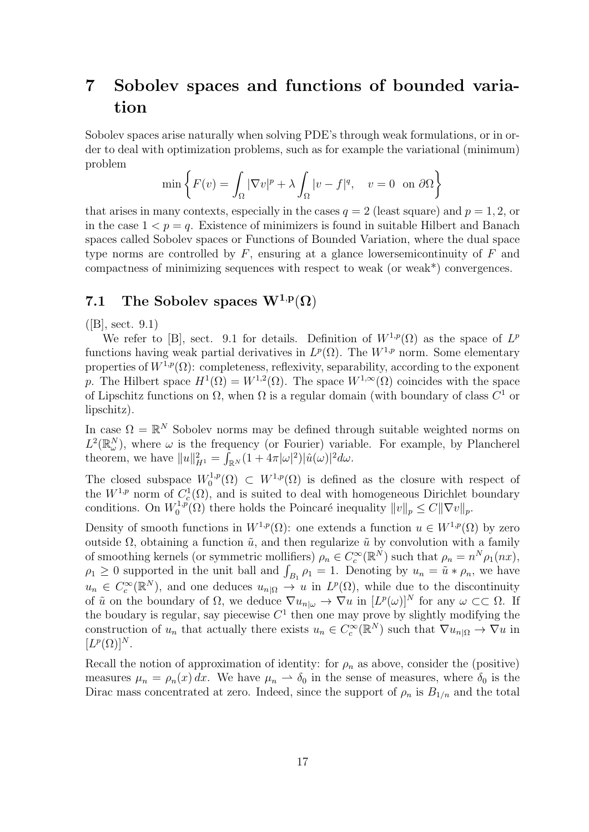# 7 Sobolev spaces and functions of bounded variation

Sobolev spaces arise naturally when solving PDE's through weak formulations, or in order to deal with optimization problems, such as for example the variational (minimum) problem

$$
\min\left\{F(v) = \int_{\Omega} |\nabla v|^p + \lambda \int_{\Omega} |v - f|^q, \quad v = 0 \text{ on } \partial\Omega\right\}
$$

that arises in many contexts, especially in the cases  $q = 2$  (least square) and  $p = 1, 2$ , or in the case  $1 < p = q$ . Existence of minimizers is found in suitable Hilbert and Banach spaces called Sobolev spaces or Functions of Bounded Variation, where the dual space type norms are controlled by  $F$ , ensuring at a glance lowersemicontinuity of  $F$  and compactness of minimizing sequences with respect to weak (or weak\*) convergences.

## 7.1 The Sobolev spaces  $W^{1,p}(\Omega)$

 $([B], \, \text{sect. } 9.1)$ 

We refer to [B], sect. 9.1 for details. Definition of  $W^{1,p}(\Omega)$  as the space of  $L^p$ functions having weak partial derivatives in  $L^p(\Omega)$ . The  $W^{1,p}$  norm. Some elementary properties of  $W^{1,p}(\Omega)$ : completeness, reflexivity, separability, according to the exponent p. The Hilbert space  $H^1(\Omega) = W^{1,2}(\Omega)$ . The space  $W^{1,\infty}(\Omega)$  coincides with the space of Lipschitz functions on  $\Omega$ , when  $\Omega$  is a regular domain (with boundary of class  $C^1$  or lipschitz).

In case  $\Omega = \mathbb{R}^N$  Sobolev norms may be defined through suitable weighted norms on  $L^2(\mathbb{R}^N_\omega)$ , where  $\omega$  is the frequency (or Fourier) variable. For example, by Plancherel theorem, we have  $||u||_{H^1}^2 = \int_{\mathbb{R}^N} (1 + 4\pi |\omega|^2) |\hat{u}(\omega)|^2 d\omega$ .

The closed subspace  $W_0^{1,p}$  $C_0^{1,p}(\Omega) \subset W^{1,p}(\Omega)$  is defined as the closure with respect of the  $W^{1,p}$  norm of  $C_c^1(\Omega)$ , and is suited to deal with homogeneous Dirichlet boundary conditions. On  $W_0^{1,p}$ <sup> $\chi^{1,p}_{0}(\Omega)$ </sup> there holds the Poincaré inequality  $||v||_p \leq C||\nabla v||_p$ .

Density of smooth functions in  $W^{1,p}(\Omega)$ : one extends a function  $u \in W^{1,p}(\Omega)$  by zero outside Ω, obtaining a function  $\tilde{u}$ , and then regularize  $\tilde{u}$  by convolution with a family of smoothing kernels (or symmetric mollifiers)  $\rho_n \in C_c^{\infty}(\mathbb{R}^N)$  such that  $\rho_n = n^N \rho_1(nx)$ ,  $\rho_1 \geq 0$  supported in the unit ball and  $\int_{B_1} \rho_1 = 1$ . Denoting by  $u_n = \tilde{u} * \rho_n$ , we have  $u_n \in C_c^{\infty}(\mathbb{R}^N)$ , and one deduces  $u_{n|\Omega} \to u$  in  $L^p(\Omega)$ , while due to the discontinuity of  $\tilde{u}$  on the boundary of  $\Omega$ , we deduce  $\nabla u_{n|\omega} \to \nabla u$  in  $[L^p(\omega)]^N$  for any  $\omega \subset\subset \Omega$ . If the boudary is regular, say piecewise  $C<sup>1</sup>$  then one may prove by slightly modifying the construction of  $u_n$  that actually there exists  $u_n \in C_c^{\infty}(\mathbb{R}^N)$  such that  $\nabla u_{n|\Omega} \to \nabla u$  in  $[L^p(\Omega)]^N$ .

Recall the notion of approximation of identity: for  $\rho_n$  as above, consider the (positive) measures  $\mu_n = \rho_n(x) dx$ . We have  $\mu_n \to \delta_0$  in the sense of measures, where  $\delta_0$  is the Dirac mass concentrated at zero. Indeed, since the support of  $\rho_n$  is  $B_{1/n}$  and the total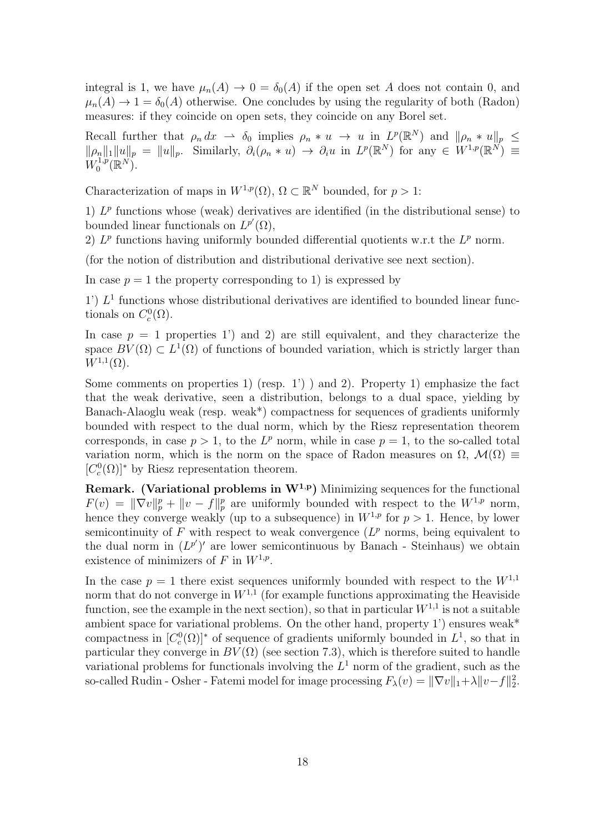integral is 1, we have  $\mu_n(A) \to 0 = \delta_0(A)$  if the open set A does not contain 0, and  $\mu_n(A) \to 1 = \delta_0(A)$  otherwise. One concludes by using the regularity of both (Radon) measures: if they coincide on open sets, they coincide on any Borel set.

Recall further that  $\rho_n dx \to \delta_0$  implies  $\rho_n * u \to u$  in  $L^p(\mathbb{R}^N)$  and  $\|\rho_n * u\|_p \leq$  $\|\rho_n\|_1 \|u\|_p = \|u\|_p$ . Similarly,  $\partial_i(\rho_n * u) \to \partial_i u$  in  $L^p(\mathbb{R}^N)$  for any  $\in W^{1,p}(\mathbb{R}^N) \equiv$  $W_0^{1,p}$  $_{0}^{1,p}(\mathbb{R}^{N}).$ 

Characterization of maps in  $W^{1,p}(\Omega)$ ,  $\Omega \subset \mathbb{R}^N$  bounded, for  $p > 1$ :

1)  $L^p$  functions whose (weak) derivatives are identified (in the distributional sense) to bounded linear functionals on  $L^{p'}(\Omega)$ ,

2)  $L^p$  functions having uniformly bounded differential quotients w.r.t the  $L^p$  norm.

(for the notion of distribution and distributional derivative see next section).

In case  $p = 1$  the property corresponding to 1) is expressed by

1')  $L<sup>1</sup>$  functions whose distributional derivatives are identified to bounded linear functionals on  $C_c^0(\Omega)$ .

In case  $p = 1$  properties 1') and 2) are still equivalent, and they characterize the space  $BV(\Omega) \subset L^1(\Omega)$  of functions of bounded variation, which is strictly larger than  $W^{1,1}(\Omega)$ .

Some comments on properties 1) (resp.  $1'$ ) and 2). Property 1) emphasize the fact that the weak derivative, seen a distribution, belongs to a dual space, yielding by Banach-Alaoglu weak (resp. weak\*) compactness for sequences of gradients uniformly bounded with respect to the dual norm, which by the Riesz representation theorem corresponds, in case  $p > 1$ , to the  $L^p$  norm, while in case  $p = 1$ , to the so-called total variation norm, which is the norm on the space of Radon measures on  $\Omega$ ,  $\mathcal{M}(\Omega) \equiv$  $[C_c^0(\Omega)]^*$  by Riesz representation theorem.

**Remark.** (Variational problems in  $W^{1,p}$ ) Minimizing sequences for the functional  $F(v) = \|\nabla v\|_p^p + \|v - f\|_p^p$  are uniformly bounded with respect to the  $W^{1,p}$  norm, hence they converge weakly (up to a subsequence) in  $W^{1,p}$  for  $p > 1$ . Hence, by lower semicontinuity of  $F$  with respect to weak convergence  $(L^p$  norms, being equivalent to the dual norm in  $(L^{p'})'$  are lower semicontinuous by Banach - Steinhaus) we obtain existence of minimizers of F in  $W^{1,p}$ .

In the case  $p = 1$  there exist sequences uniformly bounded with respect to the  $W^{1,1}$ norm that do not converge in  $W^{1,1}$  (for example functions approximating the Heaviside function, see the example in the next section), so that in particular  $W^{1,1}$  is not a suitable ambient space for variational problems. On the other hand, property 1') ensures weak\* compactness in  $[C_c^0(\Omega)]^*$  of sequence of gradients uniformly bounded in  $L^1$ , so that in particular they converge in  $BV(\Omega)$  (see section 7.3), which is therefore suited to handle variational problems for functionals involving the  $L<sup>1</sup>$  norm of the gradient, such as the so-called Rudin - Osher - Fatemi model for image processing  $F_{\lambda}(v) = ||\nabla v||_1 + \lambda ||v - f||_2^2$ .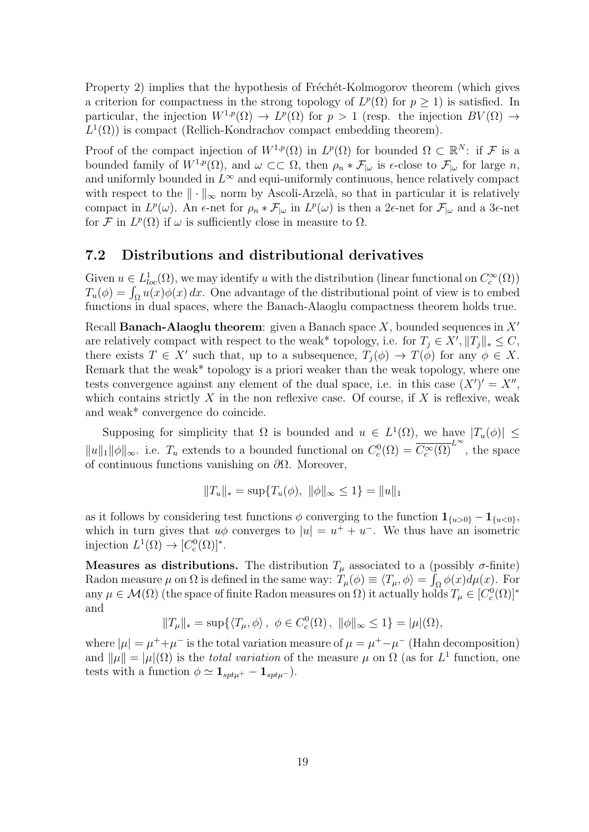Property 2) implies that the hypothesis of Fréchét-Kolmogorov theorem (which gives a criterion for compactness in the strong topology of  $L^p(\Omega)$  for  $p \geq 1$ ) is satisfied. In particular, the injection  $W^{1,p}(\Omega) \to L^p(\Omega)$  for  $p > 1$  (resp. the injection  $BV(\Omega) \to$  $L^1(\Omega)$ ) is compact (Rellich-Kondrachov compact embedding theorem).

Proof of the compact injection of  $W^{1,p}(\Omega)$  in  $L^p(\Omega)$  for bounded  $\Omega \subset \mathbb{R}^N$ : if F is a bounded family of  $W^{1,p}(\Omega)$ , and  $\omega \subset\subset \Omega$ , then  $\rho_n * \mathcal{F}_{|\omega}$  is  $\epsilon$ -close to  $\mathcal{F}_{|\omega}$  for large n, and uniformly bounded in  $L^{\infty}$  and equi-uniformly continuous, hence relatively compact with respect to the  $\|\cdot\|_{\infty}$  norm by Ascoli-Arzelà, so that in particular it is relatively compact in  $L^p(\omega)$ . An  $\epsilon$ -net for  $\rho_n * \mathcal{F}_{|\omega}$  in  $L^p(\omega)$  is then a 2 $\epsilon$ -net for  $\mathcal{F}_{|\omega}$  and a 3 $\epsilon$ -net for F in  $L^p(\Omega)$  if  $\omega$  is sufficiently close in measure to  $\Omega$ .

#### 7.2 Distributions and distributional derivatives

Given  $u \in L^1_{loc}(\Omega)$ , we may identify u with the distribution (linear functional on  $C_c^{\infty}(\Omega)$ )  $T_u(\phi) = \int_{\Omega} u(x) \phi(x) dx$ . One advantage of the distributional point of view is to embed functions in dual spaces, where the Banach-Alaoglu compactness theorem holds true.

Recall **Banach-Alaoglu theorem**: given a Banach space X, bounded sequences in  $X'$ are relatively compact with respect to the weak\* topology, i.e. for  $T_j \in X', ||T_j||_* \leq C$ , there exists  $T \in X'$  such that, up to a subsequence,  $T_j(\phi) \to T(\phi)$  for any  $\phi \in X$ . Remark that the weak\* topology is a priori weaker than the weak topology, where one tests convergence against any element of the dual space, i.e. in this case  $(X')' = X''$ , which contains strictly X in the non reflexive case. Of course, if X is reflexive, weak and weak\* convergence do coincide.

Supposing for simplicity that  $\Omega$  is bounded and  $u \in L^1(\Omega)$ , we have  $|T_u(\phi)| \leq$  $||u||_1 ||\phi||_{\infty}$ . i.e.  $T_u$  extends to a bounded functional on  $C_c^0(\Omega) = \overline{C_c^{\infty}(\Omega)}^{L^{\infty}}$ , the space of continuous functions vanishing on  $\partial\Omega$ . Moreover,

$$
||T_u||_* = \sup \{ T_u(\phi), ||\phi||_{\infty} \le 1 \} = ||u||_1
$$

as it follows by considering test functions  $\phi$  converging to the function  $\mathbf{1}_{\{u>0\}} - \mathbf{1}_{\{u<0\}}$ , which in turn gives that  $u\phi$  converges to  $|u| = u^+ + u^-$ . We thus have an isometric injection  $L^1(\Omega) \to [C_c^0(\Omega)]^*$ .

**Measures as distributions.** The distribution  $T_{\mu}$  associated to a (possibly  $\sigma$ -finite) Radon measure  $\mu$  on  $\Omega$  is defined in the same way:  $T_{\mu}(\phi) \equiv \langle T_{\mu}, \phi \rangle = \int_{\Omega} \phi(x) d\mu(x)$ . For any  $\mu \in \mathcal{M}(\Omega)$  (the space of finite Radon measures on  $\Omega$ ) it actually holds  $T_{\mu} \in [C_c^0(\Omega)]^*$ and

$$
||T_{\mu}||_* = \sup \{ \langle T_{\mu}, \phi \rangle, \ \phi \in C_c^0(\Omega), \ ||\phi||_{\infty} \le 1 \} = |\mu|(\Omega),
$$

where  $|\mu| = \mu^+ + \mu^-$  is the total variation measure of  $\mu = \mu^+ - \mu^-$  (Hahn decomposition) and  $\|\mu\| = |\mu|(\Omega)$  is the *total variation* of the measure  $\mu$  on  $\Omega$  (as for  $L^1$  function, one tests with a function  $\phi \simeq \mathbf{1}_{sptu^{+}} - \mathbf{1}_{sptu^{-}}).$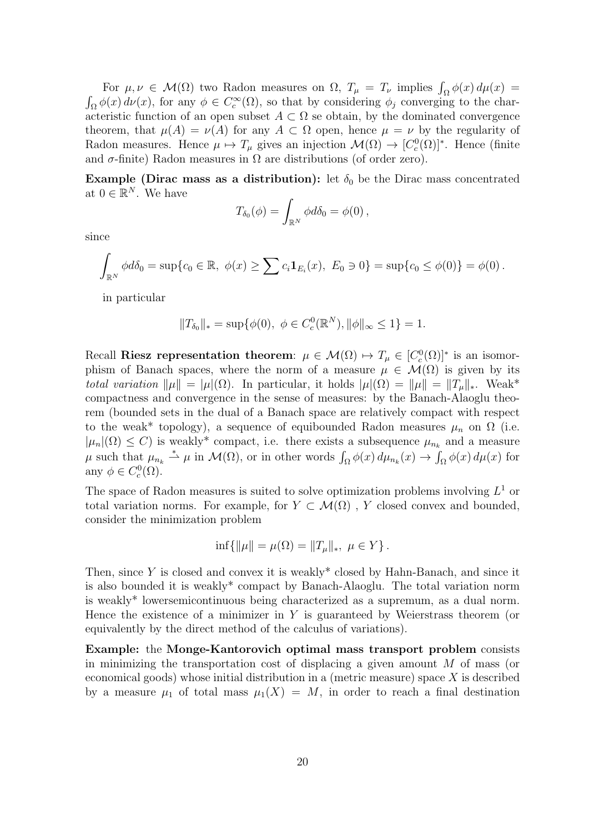For  $\mu, \nu \in \mathcal{M}(\Omega)$  two Radon measures on  $\Omega$ ,  $T_{\mu} = T_{\nu}$  implies  $\int_{\Omega} \phi(x) d\mu(x) =$  $\int_{\Omega} \phi(x) d\nu(x)$ , for any  $\phi \in C_c^{\infty}(\Omega)$ , so that by considering  $\phi_j$  converging to the characteristic function of an open subset  $A \subset \Omega$  se obtain, by the dominated convergence theorem, that  $\mu(A) = \nu(A)$  for any  $A \subset \Omega$  open, hence  $\mu = \nu$  by the regularity of Radon measures. Hence  $\mu \mapsto T_{\mu}$  gives an injection  $\mathcal{M}(\Omega) \to [C_c^0(\Omega)]^*$ . Hence (finite and  $\sigma$ -finite) Radon measures in  $\Omega$  are distributions (of order zero).

Example (Dirac mass as a distribution): let  $\delta_0$  be the Dirac mass concentrated at  $0 \in \mathbb{R}^N$ . We have

$$
T_{\delta_0}(\phi) = \int_{\mathbb{R}^N} \phi d\delta_0 = \phi(0),
$$

since

$$
\int_{\mathbb{R}^N} \phi d\delta_0 = \sup \{c_0 \in \mathbb{R}, \ \phi(x) \ge \sum c_i \mathbf{1}_{E_i}(x), \ E_0 \ni 0\} = \sup \{c_0 \le \phi(0)\} = \phi(0).
$$

in particular

$$
||T_{\delta_0}||_* = \sup \{ \phi(0), \ \phi \in C_c^0(\mathbb{R}^N), ||\phi||_{\infty} \le 1 \} = 1.
$$

Recall Riesz representation theorem:  $\mu \in \mathcal{M}(\Omega) \mapsto T_{\mu} \in [C_c^0(\Omega)]^*$  is an isomorphism of Banach spaces, where the norm of a measure  $\mu \in \mathcal{M}(\Omega)$  is given by its total variation  $\|\mu\| = |\mu|(\Omega)$ . In particular, it holds  $|\mu|(\Omega) = \|\mu\| = \|T_{\mu}\|_*$ . Weak\* compactness and convergence in the sense of measures: by the Banach-Alaoglu theorem (bounded sets in the dual of a Banach space are relatively compact with respect to the weak\* topology), a sequence of equibounded Radon measures  $\mu_n$  on  $\Omega$  (i.e.  $|\mu_n|(\Omega) \leq C$  is weakly<sup>\*</sup> compact, i.e. there exists a subsequence  $\mu_{n_k}$  and a measure  $\mu$  such that  $\mu_{n_k} \stackrel{*}{\rightharpoonup} \mu$  in  $\mathcal{M}(\Omega)$ , or in other words  $\int_{\Omega} \phi(x) d\mu_{n_k}(x) \to \int_{\Omega} \phi(x) d\mu(x)$  for any  $\phi \in C_c^0(\Omega)$ .

The space of Radon measures is suited to solve optimization problems involving  $L^1$  or total variation norms. For example, for  $Y \subset \mathcal{M}(\Omega)$ , Y closed convex and bounded, consider the minimization problem

$$
\inf\{\|\mu\| = \mu(\Omega) = \|T_{\mu}\|_{*}, \ \mu \in Y\}.
$$

Then, since  $Y$  is closed and convex it is weakly\* closed by Hahn-Banach, and since it is also bounded it is weakly\* compact by Banach-Alaoglu. The total variation norm is weakly\* lowersemicontinuous being characterized as a supremum, as a dual norm. Hence the existence of a minimizer in  $Y$  is guaranteed by Weierstrass theorem (or equivalently by the direct method of the calculus of variations).

Example: the Monge-Kantorovich optimal mass transport problem consists in minimizing the transportation cost of displacing a given amount  $M$  of mass (or economical goods) whose initial distribution in a (metric measure) space  $X$  is described by a measure  $\mu_1$  of total mass  $\mu_1(X) = M$ , in order to reach a final destination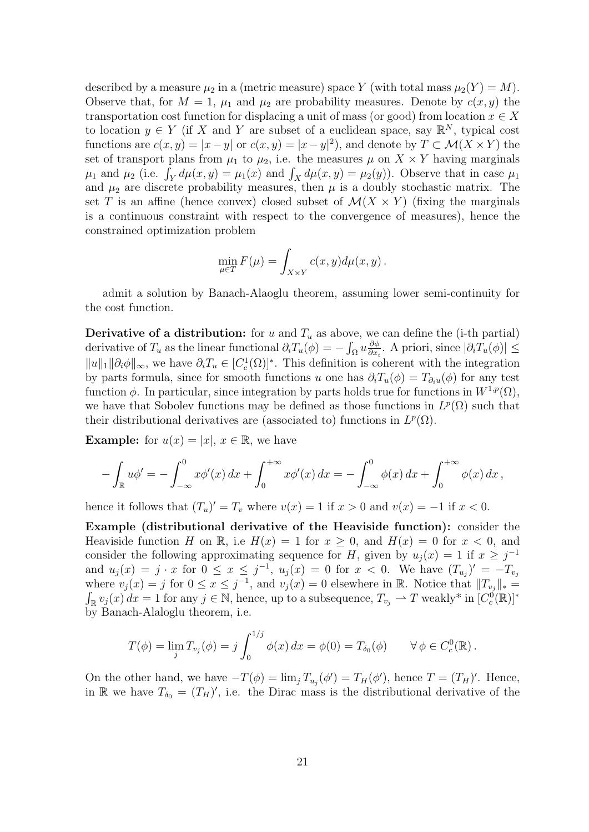described by a measure  $\mu_2$  in a (metric measure) space Y (with total mass  $\mu_2(Y) = M$ ). Observe that, for  $M = 1$ ,  $\mu_1$  and  $\mu_2$  are probability measures. Denote by  $c(x, y)$  the transportation cost function for displacing a unit of mass (or good) from location  $x \in X$ to location  $y \in Y$  (if X and Y are subset of a euclidean space, say  $\mathbb{R}^N$ , typical cost functions are  $c(x, y) = |x - y|$  or  $c(x, y) = |x - y|^2$ , and denote by  $T \subset \mathcal{M}(X \times Y)$  the set of transport plans from  $\mu_1$  to  $\mu_2$ , i.e. the measures  $\mu$  on  $X \times Y$  having marginals  $\mu_1$  and  $\mu_2$  (i.e.  $\int_Y d\mu(x, y) = \mu_1(x)$  and  $\int_X d\mu(x, y) = \mu_2(y)$ ). Observe that in case  $\mu_1$ and  $\mu_2$  are discrete probability measures, then  $\mu$  is a doubly stochastic matrix. The set T is an affine (hence convex) closed subset of  $\mathcal{M}(X \times Y)$  (fixing the marginals is a continuous constraint with respect to the convergence of measures), hence the constrained optimization problem

$$
\min_{\mu \in T} F(\mu) = \int_{X \times Y} c(x, y) d\mu(x, y).
$$

admit a solution by Banach-Alaoglu theorem, assuming lower semi-continuity for the cost function.

**Derivative of a distribution:** for u and  $T_u$  as above, we can define the (i-th partial) derivative of  $T_u$  as the linear functional  $\partial_i T_u(\phi) = -\int_{\Omega} u \frac{\partial \phi}{\partial x_i}$  $\frac{\partial \phi}{\partial x_i}$ . A priori, since  $|\partial_i T_u(\phi)| \leq$  $||u||_1 ||\partial_i \phi||_{\infty}$ , we have  $\partial_i T_u \in [C_c^1(\Omega)]^*$ . This definition is coherent with the integration by parts formula, since for smooth functions u one has  $\partial_i T_u(\phi) = T_{\partial_i u}(\phi)$  for any test function  $\phi$ . In particular, since integration by parts holds true for functions in  $W^{1,p}(\Omega)$ , we have that Sobolev functions may be defined as those functions in  $L^p(\Omega)$  such that their distributional derivatives are (associated to) functions in  $L^p(\Omega)$ .

**Example:** for  $u(x) = |x|, x \in \mathbb{R}$ , we have

$$
- \int_{\mathbb{R}} u \phi' = - \int_{-\infty}^{0} x \phi'(x) \, dx + \int_{0}^{+\infty} x \phi'(x) \, dx = - \int_{-\infty}^{0} \phi(x) \, dx + \int_{0}^{+\infty} \phi(x) \, dx,
$$

hence it follows that  $(T_u)' = T_v$  where  $v(x) = 1$  if  $x > 0$  and  $v(x) = -1$  if  $x < 0$ .

Example (distributional derivative of the Heaviside function): consider the Heaviside function H on R, i.e  $H(x) = 1$  for  $x \ge 0$ , and  $H(x) = 0$  for  $x < 0$ , and consider the following approximating sequence for H, given by  $u_j(x) = 1$  if  $x \geq j^{-1}$ and  $u_j(x) = j \cdot x$  for  $0 \le x \le j^{-1}$ ,  $u_j(x) = 0$  for  $x < 0$ . We have  $(T_{u_j})' = -T_{v_j}$ where  $v_j(x) = j$  for  $0 \le x \le j^{-1}$ , and  $v_j(x) = 0$  elsewhere in R. Notice that  $||T_{v_j}||_* =$  $\int_{\mathbb{R}} v_j(x) dx = 1$  for any  $j \in \mathbb{N}$ , hence, up to a subsequence,  $T_{v_j} \to T$  weakly\* in  $[C_c^0(\mathbb{R})]^*$ by Banach-Alaloglu theorem, i.e.

$$
T(\phi) = \lim_{j} T_{v_j}(\phi) = j \int_0^{1/j} \phi(x) dx = \phi(0) = T_{\delta_0}(\phi) \qquad \forall \phi \in C_c^0(\mathbb{R}).
$$

On the other hand, we have  $-T(\phi) = \lim_j T_{u_j}(\phi') = T_H(\phi')$ , hence  $T = (T_H)'$ . Hence, in R we have  $T_{\delta_0} = (T_H)'$ , i.e. the Dirac mass is the distributional derivative of the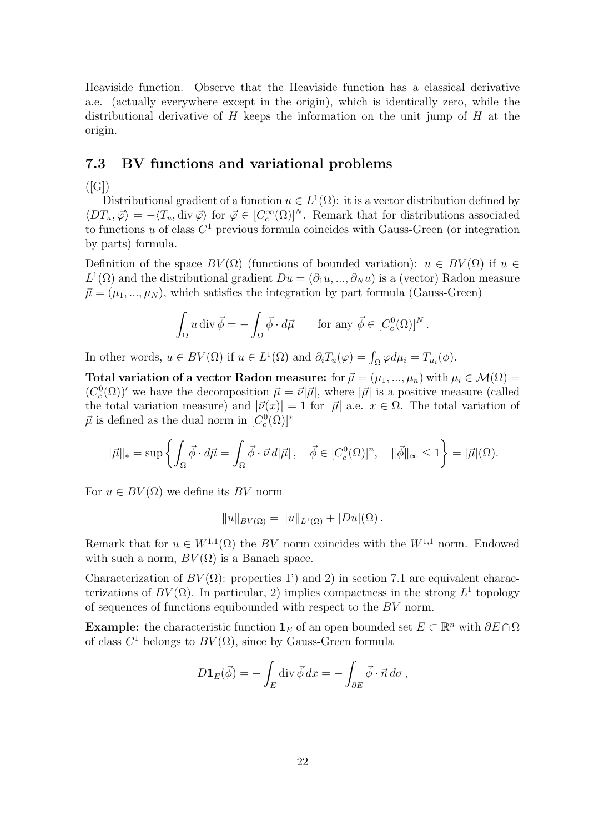Heaviside function. Observe that the Heaviside function has a classical derivative a.e. (actually everywhere except in the origin), which is identically zero, while the distributional derivative of  $H$  keeps the information on the unit jump of  $H$  at the origin.

#### 7.3 BV functions and variational problems

 $([G])$ 

Distributional gradient of a function  $u \in L^1(\Omega)$ : it is a vector distribution defined by  $\langle DT_u, \vec{\varphi} \rangle = -\langle T_u, \text{div } \vec{\varphi} \rangle$  for  $\vec{\varphi} \in [C_c^{\infty}(\Omega)]^N$ . Remark that for distributions associated to functions u of class  $C^1$  previous formula coincides with Gauss-Green (or integration by parts) formula.

Definition of the space  $BV(\Omega)$  (functions of bounded variation):  $u \in BV(\Omega)$  if  $u \in$  $L^1(\Omega)$  and the distributional gradient  $Du = (\partial_1 u, ..., \partial_N u)$  is a (vector) Radon measure  $\vec{\mu} = (\mu_1, ..., \mu_N)$ , which satisfies the integration by part formula (Gauss-Green)

$$
\int_{\Omega} u \operatorname{div} \vec{\phi} = -\int_{\Omega} \vec{\phi} \cdot d\vec{\mu} \quad \text{for any } \vec{\phi} \in [C_c^0(\Omega)]^N.
$$

In other words,  $u \in BV(\Omega)$  if  $u \in L^1(\Omega)$  and  $\partial_i T_u(\varphi) = \int_{\Omega} \varphi d\mu_i = T_{\mu_i}(\phi)$ .

Total variation of a vector Radon measure: for  $\vec{\mu} = (\mu_1, ..., \mu_n)$  with  $\mu_i \in \mathcal{M}(\Omega) =$  $(C_c^0(\Omega))'$  we have the decomposition  $\vec{\mu} = \vec{\nu}|\vec{\mu}|$ , where  $|\vec{\mu}|$  is a positive measure (called the total variation measure) and  $|\vec{\nu}(x)| = 1$  for  $|\vec{\mu}|$  a.e.  $x \in \Omega$ . The total variation of  $\vec{\mu}$  is defined as the dual norm in  $[C_c^0(\Omega)]^*$ 

$$
\|\vec{\mu}\|_{*} = \sup \left\{ \int_{\Omega} \vec{\phi} \cdot d\vec{\mu} = \int_{\Omega} \vec{\phi} \cdot \vec{\nu} d|\vec{\mu}| \, , \quad \vec{\phi} \in [C_{c}^{0}(\Omega)]^{n}, \quad \|\vec{\phi}\|_{\infty} \leq 1 \right\} = |\vec{\mu}|(\Omega).
$$

For  $u \in BV(\Omega)$  we define its BV norm

$$
||u||_{BV(\Omega)} = ||u||_{L^1(\Omega)} + |Du|(\Omega).
$$

Remark that for  $u \in W^{1,1}(\Omega)$  the BV norm coincides with the  $W^{1,1}$  norm. Endowed with such a norm,  $BV(\Omega)$  is a Banach space.

Characterization of  $BV(\Omega)$ : properties 1') and 2) in section 7.1 are equivalent characterizations of  $BV(\Omega)$ . In particular, 2) implies compactness in the strong  $L^1$  topology of sequences of functions equibounded with respect to the BV norm.

**Example:** the characteristic function  $\mathbf{1}_E$  of an open bounded set  $E \subset \mathbb{R}^n$  with  $\partial E \cap \Omega$ of class  $C^1$  belongs to  $BV(\Omega)$ , since by Gauss-Green formula

$$
D\mathbf{1}_E(\vec{\phi}) = -\int_E \operatorname{div} \vec{\phi} \, dx = -\int_{\partial E} \vec{\phi} \cdot \vec{n} \, d\sigma \,,
$$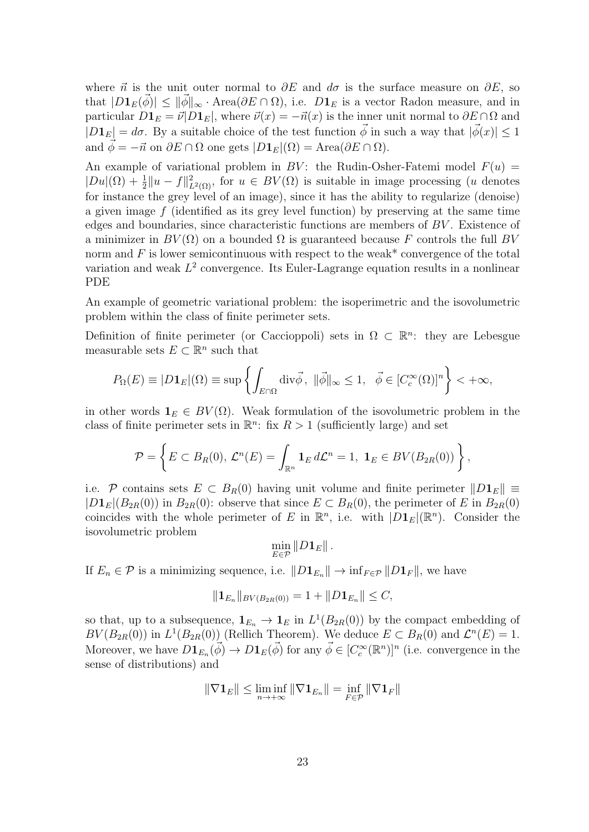where  $\vec{n}$  is the unit outer normal to  $\partial E$  and  $d\sigma$  is the surface measure on  $\partial E$ , so that  $|D1_E(\phi)| \leq ||\phi||_{\infty} \cdot \text{Area}(\partial E \cap \Omega)$ , i.e.  $D1_E$  is a vector Radon measure, and in particular  $D\mathbf{1}_E = \vec{v} \cdot D\mathbf{1}_E$ , where  $\vec{v}(x) = -\vec{n}(x)$  is the inner unit normal to  $\partial E \cap \Omega$  and  $|D1_E| = d\sigma$ . By a suitable choice of the test function  $\vec{\phi}$  in such a way that  $|\vec{\phi}(x)| \leq 1$ and  $\vec{\phi} = -\vec{n}$  on  $\partial E \cap \Omega$  one gets  $|D_1E|(\Omega) = \text{Area}(\partial E \cap \Omega)$ .

An example of variational problem in BV: the Rudin-Osher-Fatemi model  $F(u)$  =  $|Du|(\Omega) + \frac{1}{2}||u - f||^2_{L^2(\Omega)}$ , for  $u \in BV(\Omega)$  is suitable in image processing (u denotes for instance the grey level of an image), since it has the ability to regularize (denoise) a given image f (identified as its grey level function) by preserving at the same time edges and boundaries, since characteristic functions are members of BV . Existence of a minimizer in  $BV(\Omega)$  on a bounded  $\Omega$  is guaranteed because F controls the full BV norm and  $F$  is lower semicontinuous with respect to the weak\* convergence of the total variation and weak  $L^2$  convergence. Its Euler-Lagrange equation results in a nonlinear PDE

An example of geometric variational problem: the isoperimetric and the isovolumetric problem within the class of finite perimeter sets.

Definition of finite perimeter (or Caccioppoli) sets in  $\Omega \subset \mathbb{R}^n$ : they are Lebesgue measurable sets  $E \subset \mathbb{R}^n$  such that

$$
P_{\Omega}(E) \equiv |D\mathbf{1}_E|(\Omega) \equiv \sup \left\{ \int_{E \cap \Omega} \text{div}\vec{\phi}, \ \|\vec{\phi}\|_{\infty} \leq 1, \ \ \vec{\phi} \in [C_c^{\infty}(\Omega)]^n \right\} < +\infty,
$$

in other words  $\mathbf{1}_E \in BV(\Omega)$ . Weak formulation of the isovolumetric problem in the class of finite perimeter sets in  $\mathbb{R}^n$ : fix  $R > 1$  (sufficiently large) and set

$$
\mathcal{P} = \left\{ E \subset B_R(0), \, \mathcal{L}^n(E) = \int_{\mathbb{R}^n} \mathbf{1}_E \, d\mathcal{L}^n = 1, \, \, \mathbf{1}_E \in BV(B_{2R}(0)) \right\},
$$

i.e. P contains sets  $E \subset B_R(0)$  having unit volume and finite perimeter  $||D_1E|| \equiv$  $|D_1E|(B_{2R}(0))$  in  $B_{2R}(0)$ : observe that since  $E \subset B_R(0)$ , the perimeter of E in  $B_{2R}(0)$ coincides with the whole perimeter of E in  $\mathbb{R}^n$ , i.e. with  $|D_1E|(\mathbb{R}^n)$ . Consider the isovolumetric problem

 $\min_{E \in \mathcal{P}} \|D \mathbf{1}_E \|$  .

If  $E_n \in \mathcal{P}$  is a minimizing sequence, i.e.  $||D_EE_n|| \to \inf_{F \in \mathcal{P}} ||D_EE||$ , we have

$$
||\mathbf{1}_{E_n}||_{BV(B_{2R}(0))} = 1 + ||D\mathbf{1}_{E_n}|| \leq C,
$$

so that, up to a subsequence,  $\mathbf{1}_{E_n} \to \mathbf{1}_E$  in  $L^1(B_{2R}(0))$  by the compact embedding of  $BV(B_{2R}(0))$  in  $L^1(B_{2R}(0))$  (Rellich Theorem). We deduce  $E \subset B_R(0)$  and  $\mathcal{L}^n(E) = 1$ . Moreover, we have  $D\mathbf{1}_{E_n}(\vec{\phi}) \to D\mathbf{1}_E(\vec{\phi})$  for any  $\vec{\phi} \in [C_c^{\infty}(\mathbb{R}^n)]^n$  (i.e. convergence in the sense of distributions) and

$$
\|\nabla \mathbf{1}_E\| \le \liminf_{n \to +\infty} \|\nabla \mathbf{1}_{E_n}\| = \inf_{F \in \mathcal{P}} \|\nabla \mathbf{1}_F\|
$$